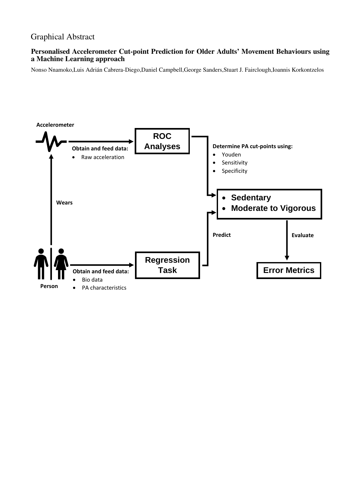# Graphical Abstract

# **Personalised Accelerometer Cut-point Prediction for Older Adults' Movement Behaviours using a Machine Learning approach**

Nonso Nnamoko,Luis Adrián Cabrera-Diego,Daniel Campbell,George Sanders,Stuart J. Fairclough,Ioannis Korkontzelos

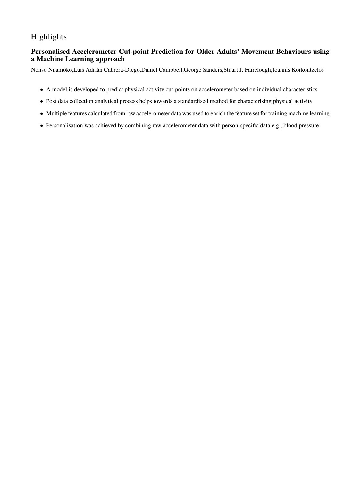# Highlights

# **Personalised Accelerometer Cut-point Prediction for Older Adults' Movement Behaviours using a Machine Learning approach**

Nonso Nnamoko,Luis Adrián Cabrera-Diego,Daniel Campbell,George Sanders,Stuart J. Fairclough,Ioannis Korkontzelos

- A model is developed to predict physical activity cut-points on accelerometer based on individual characteristics
- Post data collection analytical process helps towards a standardised method for characterising physical activity
- Multiple features calculated from raw accelerometer data was used to enrich the feature set for training machine learning
- Personalisation was achieved by combining raw accelerometer data with person-specific data e.g., blood pressure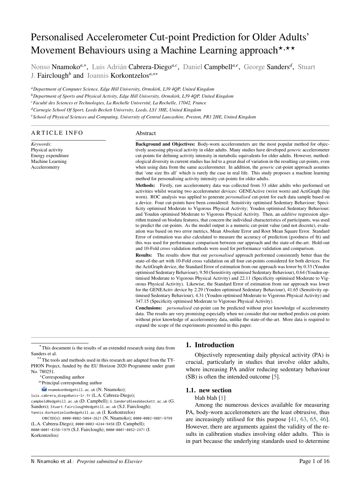# Personalised Accelerometer Cut-point Prediction for Older Adults' Movement Behaviours using a Machine Learning approach<sup>\*,\*\*</sup>

Nonso Nnamoko<sup>a,∗</sup>, Luis Adrián Cabrera-Diego<sup>a, c</sup>, Daniel Campbell<sup>a, e</sup>, George Sanders<sup>d</sup>, Stuart J. Fairclough*<sup>b</sup>* and Ioannis Korkontzelos*<sup>a</sup>*,∗∗

*<sup>a</sup>Department of Computer Science, Edge Hill University, Ormskirk, L39 4QP, United Kingdom*

*<sup>b</sup>Department of Sports and Physical Activity, Edge Hill University, Ormskirk, L39 4QP, United Kingdom*

*<sup>c</sup>Faculté des Sciences et Technologies, La Rochelle Université, La Rochelle, 17042, France*

*<sup>d</sup>Carnegie School Of Sport, Leeds Beckett University, Leeds, LS1 3HE, United Kingdom*

*<sup>e</sup>School of Physical Sciences and Computing, University of Central Lancashire, Preston, PR1 2HE, United Kingdom*

#### **ARTICLE INFO**

*Keywords*: Physical activity Energy expenditure Machine Learning Accelerometry

#### Abstract

**Background and Objectives:** Body-worn accelerometers are the most popular method for objectively assessing physical activity in older adults. Many studies have developed *generic* accelerometer cut-points for defining activity intensity in metabolic equivalents for older adults. However, methodological diversity in current studies has led to a great deal of variation in the resulting cut-points, even when using data from the same accelerometer. In addition, the *generic* cut-point approach assumes that 'one size fits all' which is rarely the case in real life. This study proposes a machine learning method for personalising activity intensity cut-points for older adults.

**Methods:** Firstly, raw accelerometry data was collected from 33 older adults who performed set activities whilst wearing two accelerometer devices: GENEActive (wrist worn) and ActiGraph (hip worn). ROC analysis was applied to generate *personalised* cut-point for each data sample based on a device. Four cut-points have been considered: Sensitivity optimised Sedentary Behaviour; Specificity optimised Moderate to Vigorous Physical Activity; Youden optimised Sedentary Behaviour; and Youden optimised Moderate to Vigorous Physical Activity. Then, an *additive* regression algorithm trained on biodata features, that concern the individual characteristics of participants, was used to predict the cut-points. As the model output is a numeric cut-point value (and not discrete), evaluation was based on two error metrics, Mean Absolute Error and Root Mean Square Error. Standard Error of estimation was also calculated to measure the accuracy of prediction (goodness of fit) and this was used for performance comparison between our approach and the state-of-the-art. Hold-out and 10-Fold cross validation methods were used for performance validation and comparison.

**Results:** The results show that our *personalised* approach performed consistently better than the state-of-the-art with 10-Fold cross validation on all four cut-points considered for both devices. For the ActiGraph device, the Standard Error of estimation from our approach was lower by 0.33 (Youden optimised Sedentary Behaviour), 9.50 (Sensitivity optimised Sedentary Behaviour), 0.64 (Youden optimised Moderate to Vigorous Physical Activity) and 22.11 (Specificity optimised Moderate to Vigorous Physical Activity). Likewise, the Standard Error of estimation from our approach was lower for the GENEActiv device by 2.29 (Youden optimised Sedentary Behaviour), 41.65 (Sensitivity optimised Sedentary Behaviour), 4.31 (Youden optimised Moderate to Vigorous Physical Activity) and 347.15 (Specificity optimised Moderate to Vigorous Physical Activity).

**Conclusions:** *personalised* cut-point can be predicted without prior knowledge of accelerometry data. The results are very promising especially when we consider that our method predicts cut-points without prior knowledge of accelerometry data, unlike the state-of-the-art. More data is required to expand the scope of the experiments presented in this paper.

*⋆* This document is the results of an extended research using data from Sanders et al.

<sup>*\**</sup>The tools and methods used in this research are adapted from the TY-PHON Project, funded by the EU Horizon 2020 Programme under grant No. 780251.

<sup>∗</sup>Corresponding author

∗∗Principal corresponding author

 $\mathbb{R}$  nnamokon@edgehill.ac.uk (N. Nnamoko);

luis.cabrera\_diego@univ-lr.fr (L.A. Cabrera-Diego);

campbeld@edgehill.ac.uk (D. Campbell); G.Sanders@leedsbeckett.ac.uk (G. Sanders); Stuart.Fairclough@edgehill.ac.uk (S.J. Fairclough); Yannis.Korkontzelos@edgehill.ac.uk (I. Korkontzelos)

ORCID(s): 0000-0002-5064-2621 (N. Nnamoko); 0000-0002-9881-9799 (L.A. Cabrera-Diego); 0000-0003-4244-9458 (D. Campbell); 0000-0001-8358-1979 (S.J. Fairclough); 0000-0001-8052-2471 (I. Korkontzelos)

#### **1. Introduction**

Objectively representing daily physical activity (PA) is crucial, particularly in studies that involve older adults, where increasing PA and/or reducing sedentary behaviour (SB) is often the intended outcome [\[5\]](#page-15-0).

#### **1.1. new section**

#### blah blah [\[1\]](#page-15-1)

Among the numerous devices available for measuring PA, body-worn accelerometers are the least obtrusive, thus are increasingly utilised for this purpose [\[41,](#page-16-0) [63,](#page-17-0) [65,](#page-17-1) [46\]](#page-16-1). However, there are arguments against the validity of the results in calibration studies involving older adults. This is in part because the underlying standards used to determine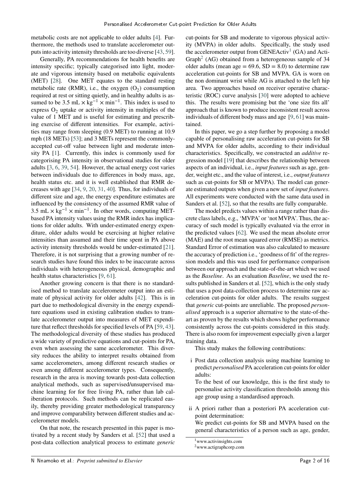metabolic costs are not applicable to older adults [\[4\]](#page-15-2). Furthermore, the methods used to translate accelerometer outputs into activity intensity thresholds are too diverse [\[43,](#page-16-2) [59\]](#page-17-2).

Generally, PA recommendations for health benefits are intensity specific; typically categorised into light, moderate and vigorous intensity based on metabolic equivalents (MET) [\[28\]](#page-16-3). One MET equates to the standard resting metabolic rate (RMR), i.e., the oxygen  $(O_2)$  consumption required at rest or sitting quietly, and in healthy adults is assumed to be  $3.5 \text{ mL} \times \text{kg}^{-1} \times \text{min}^{-1}$ . This index is used to express  $O_2$  uptake or activity intensity in multiples of the value of 1 MET and is useful for estimating and prescribing exercise of different intensities. For example, activities may range from sleeping (0.9 MET) to running at 10.9 mph (18 METs) [\[53\]](#page-17-3); and 3 METs represent the commonlyaccepted cut-off value between light and moderate intensity PA [\[1\]](#page-15-1). Currently, this index is commonly used for categorising PA intensity in observational studies for older adults [\[3,](#page-15-3) [6,](#page-15-4) [39,](#page-16-4) [54\]](#page-17-4). However, the actual energy cost varies between individuals due to differences in body mass, age, health status etc. and it is well established that RMR decreases with age [\[34,](#page-16-5) [9,](#page-15-5) [20,](#page-15-6) [31,](#page-16-6) [40\]](#page-16-7). Thus, for individuals of different size and age, the energy expenditure estimates are influenced by the consistency of the assumed RMR value of 3.5 mL  $\times$  kg<sup>-1</sup>  $\times$  min<sup>-1</sup>. In other words, computing METbased PA intensity values using the RMR index has implications for older adults. With under-estimated energy expenditure, older adults would be exercising at higher relative intensities than assumed and their time spent in PA above activity intensity thresholds would be under-estimated [\[21\]](#page-15-7). Therefore, it is not surprising that a growing number of research studies have found this index to be inaccurate across individuals with heterogeneous physical, demographic and health status characteristics [\[9,](#page-15-5) [61\]](#page-17-5).

Another growing concern is that there is no standardised method to translate accelerometer output into an estimate of physical activity for older adults [\[42\]](#page-16-8). This is in part due to methodological diversity in the energy expenditure equations used in existing calibration studies to translate accelerometer output into measures of MET expenditure that reflect thresholds for specified levels of PA [\[59,](#page-17-2) [43\]](#page-16-2). The methodological diversity of these studies has produced a wide variety of predictive equations and cut-points for PA, even when assessing the same accelerometer. This diversity reduces the ability to interpret results obtained from same accelerometers, among different research studies or even among different accelerometer types. Consequently, research in the area is moving towards post-data collection analytical methods, such as supervised/unsupervised machine learning for for free living PA, rather than lab caliberation protocols. Such methods can be replicated easily, thereby providing greater methodological transparency and improve comparability between different studies and accelerometer models.

On that note, the research presented in this paper is motivated by a recent study by Sanders et al. [\[52\]](#page-17-6) that used a post-data collection analytical process to estimate *generic*

cut-points for SB and moderate to vigorous physical activity (MVPA) in older adults. Specifically, the study used the accelerometer output from  $GENEActiv<sup>1</sup>$  $GENEActiv<sup>1</sup>$  $GENEActiv<sup>1</sup>$  (GA) and Acti-Graph<sup>[2](#page-3-1)</sup> (AG) obtained from a heterogeneous sample of 34 older adults (mean age  $= 69.6$ , SD  $= 8.0$ ) to determine raw acceleration cut-points for SB and MVPA. GA is worn on the non dominant wrist while AG is attached to the left hip area. Two approaches based on receiver operative characteristic (ROC) curve analysis [\[30\]](#page-16-9) were adopted to achieve this. The results were promising but the 'one size fits all' approach that is known to produce inconsistent result across individuals of different body mass and age [\[9,](#page-15-5) [61\]](#page-17-5) was maintained.

In this paper, we go a step further by proposing a model capable of personalising raw acceleration cut-points for SB and MVPA for older adults, according to their individual characteristics. Specifically, we constructed an *additive* regression model [\[19\]](#page-15-8) that describes the relationship between aspects of an individual, i.e., *input features* such as age, gender, weight etc., and the value of interest, i.e., *output features* such as cut-points for SB or MVPA). The model can generate estimated outputs when given a new set of *input features*. All experiments were conducted with the same data used in Sanders et al. [\[52\]](#page-17-6), so that the results are fully comparable.

The model predicts values within a range rather than discrete class labels, e.g., 'MVPA' or 'not MVPA'. Thus, the accuracy of such model is typically evaluated via the error in the predicted values [\[62\]](#page-17-7). We used the mean absolute error (MAE) and the root mean squared error (RMSE) as metrics. Standard Error of estimation was also calculated to measure the accuracy of prediction i.e., 'goodness of fit' of the regression models and this was used for performance comparison between our approach and the state-of-the-art which we used as the *Baseline*. As an evaluation *Baseline*, we used the results published in Sanders et al. [\[52\]](#page-17-6), which is the only study that uses a post data-collection process to determine raw acceleration cut-points for older adults. The results suggest that *generic* cut-points are unreliable. The proposed *personalised* approach is a superior alternative to the state-of-theart as proven by the results which shows higher performance consistently across the cut-points considered in this study. There is also room for improvement especially given a larger training data.

This study makes the following contributions:

i Post data collection analysis using machine learning to predict *personalised* PA acceleration cut-points for older adults:

To the best of our knowledge, this is the first study to personalise activity classification thresholds among this age group using a standardised approach.

ii A priori rather than a posteriori PA acceleration cutpoint determination:

We predict cut-points for SB and MVPA based on the general characteristics of a person such as age, gender,

```
1www.activinsights.com
```

```
2www.actigraphcorp.com
```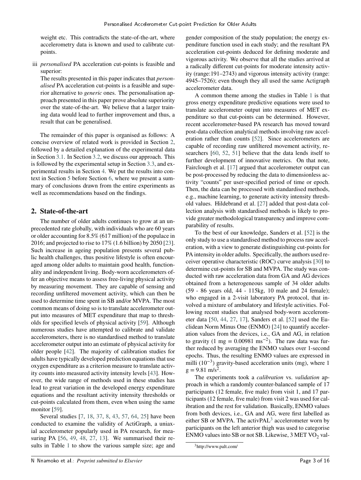weight etc. This contradicts the state-of-the-art, where accelerometry data is known and used to calibrate cutpoints.

iii *personalised* PA acceleration cut-points is feasible and superior:

The results presented in this paper indicates that *personalised* PA acceleration cut-points is a feasible and superior alternative to *generic* ones. The personalisation approach presented in this paper prove absolute superiority over the state-of-the-art. We believe that a larger training data would lead to further improvement and thus, a result that can be generalised.

The remainder of this paper is organised as follows: A concise overview of related work is provided in Section [2,](#page-4-0) followed by a detailed explanation of the experimental data in Section [3.1.](#page-5-0) In Section [3.2,](#page-6-0) we discuss our approach. This is followed by the experimental setup in Section [3.3,](#page-7-0) and experimental results in Section [4.](#page-8-0) We put the results into context in Section [5](#page-12-0) before Section [6,](#page-14-0) where we present a summary of conclusions drawn from the entire experiments as well as recommendations based on the findings.

# <span id="page-4-0"></span>**2. State-of-the-art**

The number of older adults continues to grow at an unprecedented rate globally, with individuals who are 60 years or older accounting for 8.5% (617 million) of the populace in 2016; and projected to rise to 17% (1.6 billion) by 2050 [\[23\]](#page-16-10). Such increase in ageing population presents several public health challenges, thus positive lifestyle is often encouraged among older adults to maintain good health, functionality and independent living. Body-worn accelerometers offer an objective means to assess free-living physical activity by measuring movement. They are capable of sensing and recording unfiltered movement activity, which can then be used to determine time spent in SB and/or MVPA. The most common means of doing so is to translate accelerometer output into measures of MET expenditure that map to thresholds for specified levels of physical activity [\[59\]](#page-17-2). Although numerous studies have attempted to calibrate and validate accelerometers, there is no standardised method to translate accelerometer output into an estimate of physical activity for older people [\[42\]](#page-16-8). The majority of calibration studies for adults have typically developed prediction equations that use oxygen expenditure as a criterion measure to translate activity counts into measured activity intensity levels [\[43\]](#page-16-2). However, the wide range of methods used in these studies has lead to great variation in the developed energy expenditure equations and the resultant activity intensity thresholds or cut-points calculated from them, even when using the same monitor [\[59\]](#page-17-2).

Several studies [\[7,](#page-15-9) [18,](#page-15-10) [37,](#page-16-11) [8,](#page-15-11) [43,](#page-16-2) [57,](#page-17-8) [64,](#page-17-9) [25\]](#page-16-12) have been conducted to examine the validity of ActiGraph, a uniaxial accelerometer popularly used in PA research, for measuring PA [\[56,](#page-17-10) [49,](#page-17-11) [48,](#page-16-13) [27,](#page-16-14) [13\]](#page-15-12). We summarised their results in Table [1](#page-5-1) to show the various sample size; age and

gender composition of the study population; the energy expenditure function used in each study; and the resultant PA acceleration cut-points deduced for defining moderate and vigorous activity. We observe that all the studies arrived at a radically different cut-points for moderate intensity activity (range:191–2743) and vigorous intensity activity (range: 4945–7526); even though they all used the same Actigraph accelerometer data.

A common theme among the studies in Table [1](#page-5-1) is that gross energy expenditure predictive equations were used to translate accelerometer output into measures of MET expenditure so that cut-points can be determined. However, recent accelerometer-based PA research has moved toward post-data collection analytical methods involving raw acceleration rather than counts [\[52\]](#page-17-6). Since accelerometers are capable of recording raw unfiltered movement activity, researchers [\[60,](#page-17-12) [52,](#page-17-6) [51\]](#page-17-13) believe that the data lends itself to further development of innovative metrics. On that note, Fairclough et al. [\[17\]](#page-15-13) argued that accelerometer output can be post-processed by reducing the data to dimensionless activity "counts" per user-specified period of time or epoch. Then, the data can be processed with standardised methods, e.g., machine learning, to generate activity intensity threshold values. Hildebrand et al. [\[27\]](#page-16-14) added that post-data collection analysis with standardised methods is likely to provide greater methodological transparency and improve comparability of results.

To the best of our knowledge, Sanders et al. [\[52\]](#page-17-6) is the only study to use a standardised method to process raw acceleration, with a view to generate distinguishing cut-points for PA intensity in older adults. Specifically, the authors used receiver operative characteristic (ROC) curve analysis [\[30\]](#page-16-9) to determine cut-points for SB and MVPA. The study was conducted with raw acceleration data from GA and AG devices obtained from a heterogeneous sample of 34 older adults (59 - 86 years old, 44 - 115kg, 10 male and 24 female); who engaged in a 2-visit laboratory PA protocol, that involved a mixture of ambulatory and lifestyle activities. Following recent studies that analysed body-worn accelerometer data [\[50,](#page-17-14) [44,](#page-16-15) [27,](#page-16-14) [17\]](#page-15-13), Sanders et al. [\[52\]](#page-17-6) used the Euclidean Norm Minus One (ENMO) [\[24\]](#page-16-16) to quantify acceleration values from the devices, i.e., GA and AG, in relation to gravity (1 mg =  $0.00981 \text{ ms}^{-2}$ ). The raw data was further reduced by averaging the ENMO values over 1-second epochs. Thus, the resulting ENMO values are expressed in milli (10−3) gravity-based acceleration units (mg), where 1  $g = 9.81$  m/s<sup>2</sup>.

The experiments took a *calibration* vs. *validation* approach in which a randomly counter-balanced sample of 17 participants (12 female, five male) from visit 1, and 17 participants (12 female, five male) from visit 2 was used for calibration and the rest for validation. Basically, ENMO values from both devices, i.e., GA and AG, were first labelled as either SB or MVPA. The activPAL<sup>[3](#page-4-1)</sup> accelerometer worn by participants on the left anterior thigh was used to categorise ENMO values into SB or not SB. Likewise,  $3$  MET VO<sub>2</sub> val-

<span id="page-4-1"></span><sup>3</sup>http://www.palt.com/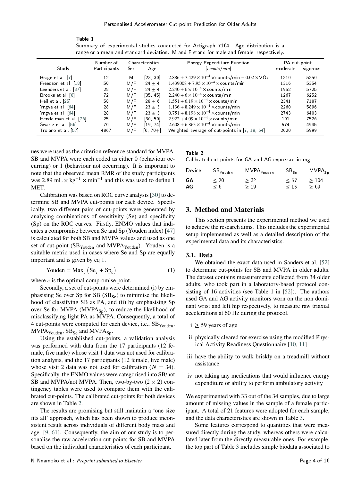<span id="page-5-1"></span>

| range or a mean and standard deviation. M and F stand for male and female, respectively. |              |      |                 |                                                                                   |              |          |  |  |  |
|------------------------------------------------------------------------------------------|--------------|------|-----------------|-----------------------------------------------------------------------------------|--------------|----------|--|--|--|
|                                                                                          | Number of    |      | Characteristics | <b>Energy Expenditure Function</b>                                                | PA cut point |          |  |  |  |
| Study                                                                                    | Participants | Sex. | Age             | counts/min                                                                        | moderate     | vigorous |  |  |  |
| Brage et al. [7]                                                                         | 12           | М    | [23, 30]        | $2.886 + 7.429 \times 10^{-4} \times \text{counts/min} - 0.02 \times \text{VO}_2$ | 1810         | 5850     |  |  |  |
| Freedson et al. [18]                                                                     | 50           | M/F  | $24 \pm 4$      | $1.439008 + 7.95 \times 10^{-4} \times \text{counts/min}$                         | 1316         | 5354     |  |  |  |
| Leenders et al [37]                                                                      | 28           | M/F  | $24 \pm 4$      | $2.240 + 6 \times 10^{-4} \times \text{counts/min}$                               | 1952         | 5725     |  |  |  |
| Brooks et al. [8]                                                                        | 72           | M/F  | [35, 45]        | $2.240 + 6 \times 10^{-4} \times \text{counts/min}$                               | 1267         | 6252     |  |  |  |
| Heil et al. $[25]$                                                                       | 58           | M/F  | $28 \pm 6$      | $1.551 + 6.19 \times 10^{-4} \times \text{counts/min}$                            | 2341         | 7187     |  |  |  |
| Yngve et al [64]                                                                         | 28           | M/F  | $23 \pm 3$      | $1.136 + 8.249 \times 10^{-4} \times \text{counts/min}$                           | 2260         | 5896     |  |  |  |
| Yngve et al [64]                                                                         | 28           | M/F  | $23 \pm 3$      | $0.751 + 8.198 \times 10^{-4} \times \text{counts/min}$                           | 2743         | 6403     |  |  |  |
| Hendelman et al. [26]                                                                    | 25           | M/F  | [30, 50]        | $2.922 + 4.09 \times 10^{-4} \times \text{counts/min}$                            | 191          | 7526     |  |  |  |
| Swartz et al. [56]                                                                       | 70           | M/F  | [19, 74]        | $2.608 + 6.863 \times 10^{-4} \times \text{counts/min}$                           | 574          | 4945     |  |  |  |
| Troiano et al. [57]                                                                      | 4867         | M/F  | $[6, 70 +]$     | Weighted average of cut-points in [7, 18, 64]                                     | 2020         | 5999     |  |  |  |

Table 1 Summary of experimental studies conducted for Actigraph 7164. Age distribution is a

ues were used as the criterion reference standard for MVPA. SB and MVPA were each coded as either 0 (behaviour occurring) or 1 (behaviour not occurring). It is important to note that the observed mean RMR of the study participants was 2.89 mL  $\times$  kg<sup>-1</sup>  $\times$  min<sup>-1</sup> and this was used to define 1 MET.

Calibration was based on ROC curve analysis [\[30\]](#page-16-9) to determine SB and MVPA cut-points for each device. Specifically, two different pairs of cut-points were generated by analysing combinations of sensitivity (Se) and specificity (Sp) on the ROC curves. Firstly, ENMO values that indicates a compromise between Se and Sp (Youden index) [\[47\]](#page-16-18) is calculated for both SB and MVPA values and used as one set of cut-point  $(SB_{Youden}$  and MVPA<sub>Youden</sub>). Youden is a suitable metric used in cases where Se and Sp are equally important and is given by eq [1.](#page-5-2)

<span id="page-5-2"></span>
$$
Youden = Maxc (Sec + Spc)
$$
 (1)

where  $c$  is the optimal compromise point.

Secondly, a set of cut-points were determined (i) by emphasising Se over Sp for SB  $(SB_{Se})$  to minimise the likelihood of classifying SB as PA, and (ii) by emphasising Sp over Se for MVPA  $(MVPA_{Sn})$ , to reduce the likelihood of misclassifying light PA as MVPA. Consequently, a total of 4 cut-points were computed for each device, i.e.,  $SB<sub>Youden</sub>$ ,  $MVPA<sub>Youden</sub>, SB<sub>Se</sub>$  and  $MVPA<sub>Sn</sub>$ .

Using the established cut-points, a validation analysis was performed with data from the 17 participants (12 female, five male) whose visit 1 data was not used for calibration analysis, and the 17 participants (12 female, five male) whose visit 2 data was not used for calibration  $(N = 34)$ . Specifically, the ENMO values were categorised into SB/not SB and MVPA/not MVPA. Then, two-by-two  $(2 \times 2)$  contingency tables were used to compare them with the calibrated cut-points. The calibrated cut-points for both devices are shown in Table [2.](#page-5-3)

The results are promising but still maintain a 'one size fits all' approach, which has been shown to produce inconsistent result across individuals of different body mass and age [\[9,](#page-15-5) [61\]](#page-17-5). Consequently, the aim of our study is to personalise the raw acceleration cut-points for SB and MVPA based on the individual characteristics of each participant.

#### <span id="page-5-3"></span>Table 2 Calibrated cut-points for GA and AG expressed in mg

| Device | SB <sub>Youden</sub> | MV PA <sub>You den</sub> | $SB_{Se}$ | $MVPA_{Sp}$ |
|--------|----------------------|--------------------------|-----------|-------------|
| GА     | < 20                 | $\geq 32$                | K 51      | >104        |
| AG     | $\leq 6$             | - 19                     | < 15      | ≥ 69        |

# **3. Method and Materials**

This section presents the experimental method we used to achieve the research aims. This includes the experimental setup implemented as well as a detailed description of the experimental data and its characteristics.

#### <span id="page-5-0"></span>**3.1. Data**

We obtained the exact data used in Sanders et al. [\[52\]](#page-17-6) to determine cut-points for SB and MVPA in older adults. The dataset contains measurements collected from 34 older adults, who took part in a laboratory-based protocol consisting of 16 activities (see Table 1 in [\[52\]](#page-17-6)). The authors used GA and AG activity monitors worn on the non dominant wrist and left hip respectively, to measure raw triaxial accelerations at 60 Hz during the protocol.

- $i \geq 59$  years of age
- ii physically cleared for exercise using the modified Physical Activity Readiness Questionnaire [\[10,](#page-15-14) [11\]](#page-15-15)
- iii have the ability to walk briskly on a treadmill without assistance
- iv not taking any medications that would influence energy expenditure or ability to perform ambulatory activity

We experimented with 33 out of the 34 samples, due to large amount of missing values in the sample of a female participant. A total of 21 features were adopted for each sample, and the data characteristics are shown in Table [3.](#page-6-1)

Some features correspond to quantities that were measured directly during the study, whereas others were calculated later from the directly measurable ones. For example, the top part of Table [3](#page-6-1) includes simple biodata associated to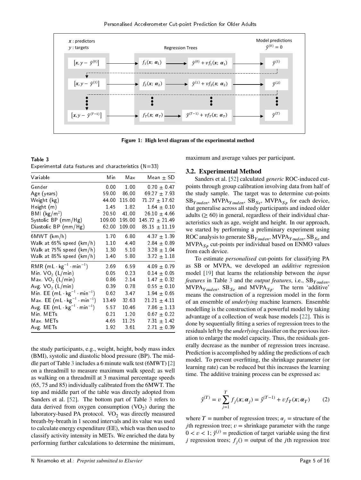

Figure 1: **High level diagram of the experimental method**

<span id="page-6-1"></span>Table 3 Experimental data features and characteristics  $(N=33)$ 

| Min    | Max    | Mean $\pm$ SD         |
|--------|--------|-----------------------|
| 0.00   | 1.00   | $0.70 \pm 0.47$       |
| 59.00  | 86.00  | 69 27 $\pm$ 7 93      |
| 44.00  | 115 00 | $71.27 \pm 17.62$     |
| 1.45   | 1.82   | $164 \pm 010$         |
| 20.50  | 41.00  | 26.10 $\pm$ 4.66      |
| 109.00 | 195.00 | 145 72 $\pm$ 21 49    |
| 62.00  | 109.00 | $85.15 \pm 11.19$     |
| 1.70   | 6.80   | $4.37 \pm 1.39$       |
| 1.10   | 4.40   | $2.84 \pm 0.89$       |
|        | 5.10   | $3.28 \pm 1.04$       |
| 1.40   | 5.80   | $3.72 \pm 1.18$       |
| 2.69   | 6.59   | $409 + 079$           |
| 0.05   | 0.23   | $0.14 \pm 0.05$       |
| 0.86   | 2.14   | $1.47 \pm 0.32$       |
| 0.39   | 0.78   | $0.55 \pm 0.10$       |
| 0.62   | 3.47   | $1.94 \pm 0.65$       |
| 13.49  | 32.63  | $21.21 \pm 4.11$      |
| 557    | 10.46  | $7.86 \pm 1.13$       |
| 0.21   | 1.20   | $0.67 \pm 0.22$       |
|        |        | $7.31 \pm 1.42$       |
| 1.92   | 3.61   | $271 \pm 039$         |
|        |        | 1.30<br>4.65<br>11.25 |

the study participants, e.g., weight, height, body mass index (BMI), systolic and diastolic blood pressure (BP). The middle part of Table [3](#page-6-1) includes a 6 minute walk test (6MWT) [\[2\]](#page-15-16) on a threadmill to measure maximum walk speed; as well as walking on a threadmill at 3 maximal percentage speeds (65, 75 and 85) individually calibrated from the 6MWT. The top and middle part of the table was directly adopted from Sanders et al. [\[52\]](#page-17-6). The bottom part of Table [3](#page-6-1) refers to data derived from oxygen consumption  $(VO_2)$  during the laboratory-based PA protocol.  $VO<sub>2</sub>$  was directly measured breath-by-breath in 1 second intervals and its value was used to calculate energy expenditure (EE), which was then used to classify activity intensity in METs. We enriched the data by performing further calculations to determine the minimum,

<span id="page-6-2"></span>maximum and average values per participant.

#### <span id="page-6-0"></span>**3.2. Experimental Method**

Sanders et al. [\[52\]](#page-17-6) calculated *generic* ROC-induced cutpoints through group calibration involving data from half of the study sample. The target was to determine cut-points  $SB_{Youden}$ , MVPA<sub>Youden</sub>,  $SB_{Se}$ , MVPA<sub>S<sub>p</sub> for each device,</sub> that generalise across all study participants and indeed older adults  $(> 60)$  in general, regardless of their individual characteristics such as age, weight and height. In our approach, we started by performing a preliminary experiment using ROC analysis to generate  $SB<sub>Y</sub>_{\text{ouden}}$ , MVPA<sub>Y ouden</sub>, SB<sub>Se</sub> and MVPA<sub>S<sub>*n*</sub></sub> cut-points per individual based on ENMO values from each device.

To estimate *personalised* cut-points for classifying PA as SB or MVPA, we developed an *additive* regression model [\[19\]](#page-15-8) that learns the relationship between the *input features* in Table [3](#page-6-1) and the *output features*, i.e., SB<sub>*Y ouden*</sub>,  $MVPA<sub>Youden</sub>, SB<sub>Se</sub>$  and  $MVPA<sub>Sp</sub>$ . The term 'additive' means the construction of a regression model in the form of an ensemble of *underlying* machine learners. Ensemble modelling is the construction of a powerful model by taking advantage of a collection of weak base models [\[22\]](#page-16-19). This is done by sequentially fitting a series of regression trees to the residuals left by the *underlying* classifier on the previous iteration to enlarge the model capacity. Thus, the residuals generally decrease as the number of regression trees increase. Prediction is accomplished by adding the predictions of each model. To prevent overfitting, the shrinkage parameter (or learning rate) can be reduced but this increases the learning time. The additive training process can be expressed as:

$$
\hat{y}^{(T)} = v \sum_{j=1}^{T} f_j(\mathbf{x}; \alpha_j) = \hat{y}^{(T-1)} + v f_T(\mathbf{x}; \alpha_T)
$$
 (2)

where  $T =$  number of regression trees;  $\alpha_i =$  structure of the *j*th regression tree;  $v =$  shrinkage parameter with the range  $0 < v < 1$ ;  $\hat{y}^{(j)}$  = prediction of target variable using the first *j* regression trees;  $f_j()$  = output of the *j*th regression tree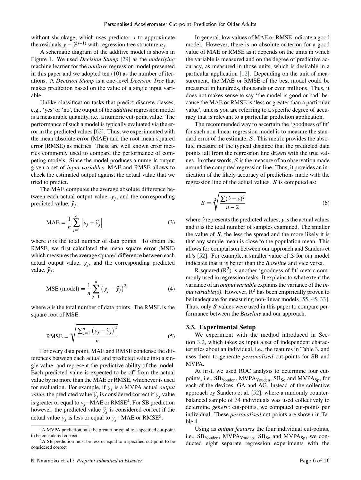without shrinkage, which uses predictor  $x$  to approximate the residuals  $y - \hat{y}^{(j-1)}$  with regression tree structure  $\alpha_j$ .

A schematic diagram of the additive model is shown in Figure [1.](#page-6-2) We used *Decision Stump* [\[29\]](#page-16-20) as the *underlying* machine learner for the *additive* regression model presented in this paper and we adopted ten (10) as the number of iterations. A *Decision Stump* is a one-level *Decision Tree* that makes prediction based on the value of a single input variable.

Unlike classification tasks that predict discrete classes, e.g., 'yes' or 'no', the output of the *additive* regression model is a measurable quantity, i.e., a numeric cut-point value. The performance of such a model is typically evaluated via the error in the predicted values [\[62\]](#page-17-7). Thus, we experimented with the mean absolute error (MAE) and the root mean squared error (RMSE) as metrics. These are well known error metrics commonly used to compare the performance of competing models. Since the model produces a numeric output given a set of *input variables*, MAE and RMSE allows to check the estimated output against the actual value that we tried to predict.

The MAE computes the average absolute difference between each actual output value,  $y_j$ , and the corresponding predicted value,  $\hat{y}_j$ :

<span id="page-7-3"></span>
$$
\text{MAE} = \frac{1}{n} \sum_{j=1}^{n} \left| y_j - \hat{y}_j \right| \tag{3}
$$

where  *is the total number of data points. To obtain the* RMSE, we first calculated the mean square error (MSE) which measures the average squared difference between each actual output value,  $y_j$ , and the corresponding predicted value,  $\hat{y}_j$ :

MSE (model) = 
$$
\frac{1}{n} \sum_{j=1}^{n} (y_j - \hat{y}_j)^2
$$
 (4)

where  $n$  is the total number of data points. The RMSE is the square root of MSE.

<span id="page-7-4"></span>
$$
\text{RMSE} = \sqrt{\frac{\sum_{j=1}^{n} (y_j - \hat{y}_j)^2}{n}}
$$
 (5)

For every data point, MAE and RMSE condense the differences between each actual and predicted value into a single value, and represent the predictive ability of the model. Each predicted value is expected to be off from the actual value by no more than the MAE or RMSE, whichever is used for evaluation. For example, if  $y_j$  is a MVPA actual *output value*, the predicted value  $\hat{y}_j$  is considered correct if  $y_j$  value is greater or equal to  $y_j$ −MAE or RMSE<sup>[4](#page-7-1)</sup>. For SB prediction however, the predicted value  $\hat{y}_j$  is considered correct if the actual value  $y_j$  is less or equal to  $y_j$  +MAE or RMSE<sup>[5](#page-7-2)</sup>.

In general, low values of MAE or RMSE indicate a good model. However, there is no absolute criterion for a good value of MAE or RMSE as it depends on the units in which the variable is measured and on the degree of predictive accuracy, as measured in those units, which is desirable in a particular application [\[12\]](#page-15-17). Depending on the unit of measurement, the MAE or RMSE of the best model could be measured in hundreds, thousands or even millions. Thus, it does not makes sense to say 'the model is good or bad' because the MAE or RMSE is 'less or greater than a particular value', unless you are referring to a specific degree of accuracy that is relevant to a particular prediction application.

The recommended way to ascertain the 'goodness of fit' for such non-linear regression model is to measure the standard error of the estimate, *S*. This metric provides the absolute measure of the typical distance that the predicted data points fall from the regression line drawn with the true values. In other words, *S* is the measure of an observation made around the computed regression line. Thus, it provides an indication of the likely accuracy of predictions made with the regression line of the actual values. *S* is computed as:

<span id="page-7-5"></span>
$$
S = \sqrt[2]{\frac{\sum(\hat{y} - y)^2}{n - 2}}
$$
\n(6)

where  $\hat{y}$  represents the predicted values,  $y$  is the actual values and *n* is the total number of samples examined. The smaller the value of *S*, the less the spread and the more likely it is that any sample mean is close to the population mean. This allows for comparison between our approach and Sanders et al.'s [\[52\]](#page-17-6). For example, a smaller value of *S* for our model indicates that it is better than the *Baseline* and vice versa.

R-squared  $(R^2)$  is another 'goodness of fit' metric commonly used in regression tasks. It explains to what extent the variance of an *output variable* explains the variance of the *input variable(s)*. However,  $R^2$  has been empirically proven to be inadequate for measuring non-linear models [\[55,](#page-17-15) [45,](#page-16-21) [33\]](#page-16-22). Thus, only *S* values were used in this paper to compare performance between the *Baseline* and our approach.

#### <span id="page-7-0"></span>**3.3. Experimental Setup**

We experiment with the method introduced in Section [3.2,](#page-6-0) which takes as input a set of independent characteristics about an individual, i.e., the features in Table [3,](#page-6-1) and uses them to generate *personalised* cut-points for SB and MVPA.

At first, we used ROC analysis to determine four cutpoints, i.e.,  $SB<sub>Youden</sub>$ , MVPA<sub>Youden</sub>,  $SB<sub>Se</sub>$  and MVPA<sub>Sp</sub>, for each of the devices, GA and AG. Instead of the collective approach by Sanders et al. [\[52\]](#page-17-6), where a randomly counterbalanced sample of 34 individuals was used collectively to determine *generic* cut-points, we computed cut-points per individual. These *personalised* cut-points are shown in Table [4.](#page-8-1)

Using as *output features* the four individual cut-points, i.e.,  $SB<sub>Youden</sub>$ , MVPA<sub>Youden</sub>,  $SB<sub>Se</sub>$  and MVPA<sub>Sp</sub>, we conducted eight separate regression experiments with the

<span id="page-7-1"></span><sup>4</sup>A MVPA prediction must be greater or equal to a specified cut-point to be considered correct

<span id="page-7-2"></span><sup>5</sup>A SB prediction must be less or equal to a specified cut-point to be considered correct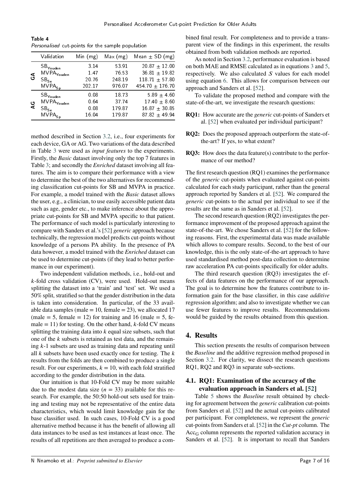<span id="page-8-1"></span>Table 4 Personalised cut-points for the sample population

|        | Validation              | Min $(mg)$ | Max(mg) | Mean $\pm$ SD (mg)  |
|--------|-------------------------|------------|---------|---------------------|
| ی<br>ت | $SB_{\sf Youden}$       | 3.14       | 53 91   | $20.87 \pm 12.00$   |
|        | $MVPA_{\Upsilon outen}$ | 147        | 76.53   | 36 81 $\pm$ 19 82   |
|        | $SB_{Se}$               | 20.76      | 248.19  | 118 71 $\pm$ 57 80  |
|        | $MVPA_{Sp}$             | 202 17     | 976.07  | 454 70 $\pm$ 176 70 |
| မွ     | $SB$ Youden             | 0.08       | 18.73   | $5.89 \pm 4.60$     |
|        | $MVPA_{\Upsilon outen}$ | 0.64       | 37.74   | 17 40 $\pm$ 8 60    |
|        | $SB_{Se}$               | 0.08       | 179.87  | $16.87 + 30.85$     |
|        | $MVPA_{Sn}$             | 16.04      | 17987   | $8782 + 4994$       |

method described in Section [3.2,](#page-6-0) i.e., four experiments for each device, GA or AG. Two variations of the data described in Table [3](#page-6-1) were used as *input features* to the experiments. Firstly, the *Basic* dataset involving only the top 7 features in Table [3;](#page-6-1) and secondly the *Enriched* dataset involving all features. The aim is to compare their performance with a view to determine the best of the two alternatives for recommending classification cut-points for SB and MVPA in practice. For example, a model trained with the *Basic* dataset allows the user, e.g., a clinician, to use easily accessible patient data such as age, gender etc., to make inference about the appropriate cut-points for SB and MVPA specific to that patient. The performance of such model is particularly interesting to compare with Sanders et al.'s [\[52\]](#page-17-6) *generic* approach because technically, the regression model predicts cut-points without knowledge of a persons PA ability. In the presence of PA data however, a model trained with the *Enriched* dataset can be used to determine cut-points (if they lead to better performance in our experiment).

Two independent validation methods, i.e., hold-out and *k*-fold cross validation (CV), were used. Hold-out means splitting the dataset into a 'train' and 'test' set. We used a 50% split, stratified so that the gender distribution in the data is taken into consideration. In particular, of the 33 available data samples (male = 10, female =  $23$ ), we allocated 17 (male  $= 5$ , female  $= 12$ ) for training and 16 (male  $= 5$ , female  $= 11$ ) for testing. On the other hand, *k*-fold CV means splitting the training data into  $k$  equal size subsets, such that one of the *k* subsets is retained as test data, and the remaining *𝑘*-1 subsets are used as training data and repeating until all *k* subsets have been used exactly once for testing. The *k* results from the folds are then combined to produce a single result. For our experiments,  $k = 10$ , with each fold stratified according to the gender distribution in the data.

Our intuition is that 10-Fold CV may be more suitable due to the modest data size  $(n = 33)$  available for this research. For example, the 50:50 hold-out sets used for training and testing may not be representative of the entire data characteristics, which would limit knowledge gain for the base classifier used. In such cases, 10-Fold CV is a good alternative method because it has the benefit of allowing all data instances to be used as test instances at least once. The results of all repetitions are then averaged to produce a combined final result. For completeness and to provide a transparent view of the findings in this experiment, the results obtained from both validation methods are reported.

As noted in Section [3.2,](#page-6-0) performance evaluation is based on both MAE and RMSE calculated as in equations [3](#page-7-3) and [5,](#page-7-4) respectively. We also calculated *S* values for each model using equation [6.](#page-7-5) This allows for comparison between our approach and Sanders et al. [\[52\]](#page-17-6).

To validate the proposed method and compare with the state-of-the-art, we investigate the research questions:

- **RQ1:** How accurate are the *generic* cut-points of Sanders et al. [\[52\]](#page-17-6) when evaluated per individual participant?
- **RQ2:** Does the proposed approach outperform the state-ofthe-art? If yes, to what extent?
- **RQ3:** How does the data feature(s) contribute to the performance of our method?

The first research question (RQ1) examines the performance of the *generic* cut-points when evaluated against cut-points calculated for each study participant, rather than the general approach reported by Sanders et al. [\[52\]](#page-17-6). We compared the *generic* cut-points to the actual per individual to see if the results are the same as in Sanders et al. [\[52\]](#page-17-6).

The second research question (RQ2) investigates the performance improvement of the proposed approach against the state-of-the-art. We chose Sanders et al. [\[52\]](#page-17-6) for the following reasons. First, the experimental data was made available which allows to compare results. Second, to the best of our knowledge, this is the only state-of-the-art approach to have used standardised method post-data collection to determine raw acceleration PA cut-points specifically for older adults.

The third research question (RQ3) investigates the effects of data features on the performance of our approach. The goal is to determine how the features contribute to information gain for the base classifier, in this case *additive* regression algorithm; and also to investigate whether we can use fewer features to improve results. Recommendations would be guided by the results obtained from this question.

### <span id="page-8-0"></span>**4. Results**

This section presents the results of comparison between the *Baseline* and the additive regression method proposed in Section [3.2.](#page-6-0) For clarity, we dissect the research questions RQ1, RQ2 and RQ3 in separate sub-sections.

## <span id="page-8-2"></span>**4.1. RQ1: Examination of the accuracy of the evaluation approach in Sanders et al. [\[52\]](#page-17-6)**

Table [5](#page-9-0) shows the *Baseline* result obtained by checking for agreement between the *generic* calibration cut-points from Sanders et al. [\[52\]](#page-17-6) and the actual cut-points calibrated per participant. For completeness, we represent the *generic* cut-points from Sanders et al. [\[52\]](#page-17-6) in the *Cut-pt* column. The  $Acc_G$  column represents the reported validation accuracy in Sanders et al. [\[52\]](#page-17-6). It is important to recall that Sanders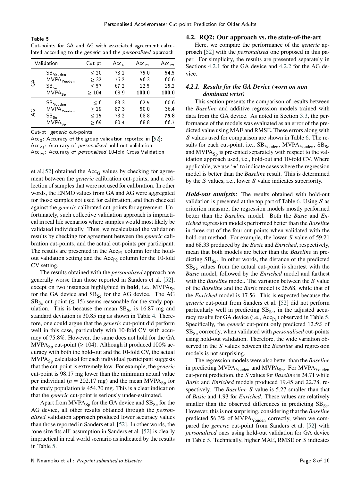<span id="page-9-0"></span>Table 5 Cut-points for GA and AG with associated agreement calculated according to the generic and the personalised approach

| Validation |                                 | Cut-pt    | Acc $_{\rm G}$ | $Acc_{P1}$ | $Acc_{P2}$ |  |
|------------|---------------------------------|-----------|----------------|------------|------------|--|
| $\Im$      | $\text{SB}_\mathsf{Youden}$     | < 20      | 73.1           | 75.0       | 54.5       |  |
|            | $\mathsf{MVPA}_\mathsf{Youden}$ | $\geq$ 32 | 76.2           | 56 3       | 60.6       |  |
|            | $SB_{Se}$                       | $\leq 57$ | 67 2           | 12.5       | 15.2       |  |
|            | $MVPA_{Sp}$                     | >104      | 68.9           | 1000       | 1000       |  |
| $\Delta$ C | $\mathsf{SB}_\mathsf{Youden}$   | $\leq 6$  | 83.3           | 62.5       | 60.6       |  |
|            | $\mathsf{MVPA}_\mathsf{Youden}$ | $\geq 19$ | 873            | 50.0       | 36.4       |  |
|            | $SB_{Se}$                       | $\leq 15$ | 73.2           | 688        | 758        |  |
|            | $MVPA_{Sp}$                     | $\geq 69$ | 804            | 688        | 667        |  |

Cut-pt: generic cut-points

Acc<sub>G</sub>: Accuracy of the group validation reported in [\[52\]](#page-17-6);  $Acc_{P1}$ : Accuracy of *personalised* hold-out validation  $Acc_{p2}$ : Accuracy of *personalised* 10-fold Cross Validation

et al.[\[52\]](#page-17-6) obtained the  $Acc_G$  values by checking for agreement between the *generic* calibration cut-points, and a collection of samples that were not used for calibration. In other words, the ENMO values from GA and AG were aggregated for those samples not used for calibration, and then checked against the *generic* calibrated cut-points for agreement. Unfortunately, such collective validation approach is impractical in real life scenarios where samples would most likely be validated individually. Thus, we recalculated the validation results by checking for agreement between the *generic* calibration cut-points, and the actual cut-points per participant. The results are presented in the  $Acc_{P1}$  column for the holdout validation setting and the  $Acc_{P2}$  column for the 10-fold CV setting.

The results obtained with the *personalised* approach are generally worse than those reported in Sanders et al. [\[52\]](#page-17-6), except on two instances highlighted in **bold**, i.e.,  $MVPA_{Sp}$ for the GA device and  $SB_{Se}$  for the AG device. The AG  $SB<sub>Se</sub>$  cut-point ( $\leq 15$ ) seems reasonable for the study population. This is because the mean  $SB_{Se}$  is 16.87 mg and standard deviation is 30.85 mg as shown in Table [4.](#page-8-1) Therefore, one could argue that the *generic* cut-point did perform well in this case, particularly with 10-fold CV with accuracy of 75.8%. However, the same does not hold for the GA MVPA<sub>Sp</sub> cut-point ( $\geq$  104). Although it produced 100% accuracy with both the hold-out and the 10-fold CV, the actual  $MVPA_{S_p}$  calculated for each individual participant suggests that the cut-point is extremely low. For example, the *generic* cut-point is 98.17 mg lower than the minimum actual value per individual ( $n = 202.17$  mg) and the mean MVPA<sub>Sp</sub> for the study population is 454.70 mg. This is a clear indication that the *generic* cut-point is seriously under-estimated.

Apart from  $MVPA_{Sp}$  for the GA device and  $SB_{Se}$  for the AG device, all other results obtained through the *personalised* validation approach produced lower accuracy values than those reported in Sanders et al. [\[52\]](#page-17-6). In other words, the 'one size fits all' assumption in Sanders et al. [\[52\]](#page-17-6) is clearly impractical in real world scenario as indicated by the results in Table [5.](#page-9-0)

#### <span id="page-9-2"></span>**4.2. RQ2: Our approach vs. the state-of-the-art**

Here, we compare the performance of the *generic* approach [\[52\]](#page-17-6) with the *personalised* one proposed in this paper. For simplicity, the results are presented separately in Sections [4.2.1](#page-9-1) for the GA device and [4.2.2](#page-10-0) for the AG device.

#### <span id="page-9-1"></span>*4.2.1. Results for the GA Device (worn on non dominant wrist)*

This section presents the comparison of results between the *Baseline* and additive regression models trained with data from the GA device. As noted in Section [3.3,](#page-7-0) the performance of the models was evaluated as an error of the predicted value using MAE and RMSE. These errors along with *S* values used for comparison are shown in Table [6.](#page-10-1) The results for each cut-point, i.e.,  $SB<sub>Youden</sub>$ ,  $MVPA<sub>Youden</sub>$ ,  $SB<sub>Se</sub>$ and  $MVPA_{Sp}$  is presented separately with respect to the validation approach used, i.e., hold-out and 10-fold CV. Where applicable, we use '*⋆*' to indicate cases where the regression model is better than the *Baseline* result. This is determined by the *S* values, i.e., lower *S* value indicates superiority.

*Hold-out analysis:* The results obtained with hold-out validation is presented at the top part of Table [6.](#page-10-1) Using S as criterion measure, the regression models mostly performed better than the *Baseline* model. Both the *Basic* and *Enriched* regression models performed better than the *Baseline* in three out of the four cut-points when validated with the hold-out method. For example, the lower *S* value of 59.21 and 68.33 produced by the *Basic* and *Enriched*, respectively, mean that both models are better than the *Baseline* in predicting  $SB_{Se}$ . In other words, the distance of the predicted  $SB_{S_{\rm e}}$  values from the actual cut-point is shortest with the *Basic* model, followed by the *Enriched* model and farthest with the *Baseline* model. The variation between the *S* value of the *Baseline* and the *Basic* model is 26.68, while that of the *Enriched* model is 17.56. This is expected because the *generic* cut-point from Sanders et al. [\[52\]](#page-17-6) did not perform particularly well in predicting  $SB_{S_{\rm e}}$ , in the adjusted accuracy results for GA device (i.e.,  $Acc_{P1}$ ) observed in Table [5.](#page-9-0) Specifically, the *generic* cut-point only predicted 12.5% of SB<sub>Se</sub> correctly, when validated with *personalised* cut-points using hold-out validation. Therefore, the wide variation observed in the *S* values between the *Baseline* and regression models is not surprising.

The regression models were also better than the *Baseline* in predicting  $MVPA<sub>Youden</sub>$  and  $MVPA<sub>Sp</sub>$ . For  $MVPA<sub>Youden</sub>$ cut-point prediction, the *S* values for *Baseline* is 24.71 while *Basic* and *Enriched* models produced 19.45 and 22.78, respectively. The *Baseline* S value is 5.27 smaller than that of *Basic* and 1.93 for *Enriched*. These values are relatively smaller than the observed differences in predicting  $SB_{Se}$ . However, this is not surprising, considering that the *Baseline* predicted 56.3% of MVPA $_{\text{Youden}}$  correctly, when we compared the *generic* cut-point from Sanders et al. [\[52\]](#page-17-6) with *personalised* ones using hold-out validation for GA device in Table [5.](#page-9-0) Technically, higher MAE, RMSE or *S* indicates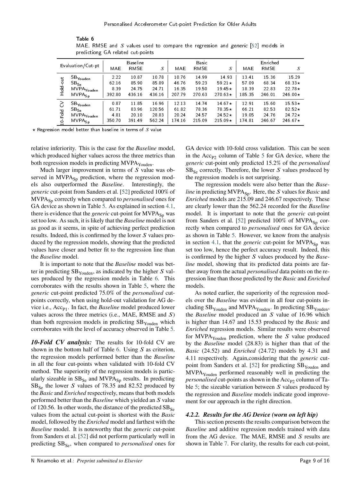<span id="page-10-1"></span>

|                    | predictiong GA related cut-points |                 |        |        |        |             |                |        |          |                |  |
|--------------------|-----------------------------------|-----------------|--------|--------|--------|-------------|----------------|--------|----------|----------------|--|
| Evaluation/Cut-pt  |                                   | <b>Baseline</b> |        |        | Basic  |             |                |        | Enriched |                |  |
|                    |                                   | MAE             | RMSE   | S      | MAE    | <b>RMSE</b> | S              | MAE    | RMSE     | S              |  |
| jno<br>$rac{1}{2}$ | $\mathsf{SB}_{\mathsf{Youden}}$   | 2.22            | 10.87  | 10.78  | 10.76  | 14.99       | 14.93          | 13 41  | 15.36    | 15.29          |  |
|                    | $SB_{S_{\epsilon}}$               | 62.16           | 85.90  | 85.89  | 46.76  | 59.23       | 59.21 $\star$  | 57.09  | 6834     | 68.33 $\star$  |  |
|                    | MVPA <sub>Youden</sub>            | 8.39            | 24.75  | 24.71  | 16 35  | 19.50       | 19.45 $\star$  | 18.39  | 22.83    | $22.78*$       |  |
|                    | $MVPA_{Sp}$                       | 392.80          | 436 16 | 436 16 | 207.79 | 270.63      | 270.63 $\star$ | 185.35 | 246.01   | 246.00 $\star$ |  |
| 3                  | $\mathsf{SB}_\mathsf{Youden}$     | 0.87            | 11.85  | 16.96  | 12 13  | 14.74       | 14.67 $\star$  | 12.91  | 15.60    | 15 53 $\star$  |  |
| Fold<br>d          | $SB_{S_{\epsilon}}$               | 61.71           | 83.96  | 120.56 | 61.82  | 78.36       | $78.35+$       | 66.21  | 82.53    | $82.52*$       |  |
|                    | MVPA <sub>Youden</sub>            | 4.81            | 20.10  | 28.83  | 20.24  | 24.57       | 24.52 $\star$  | 19.05  | 24.76    | $24.72*$       |  |
|                    | $MVPA_{Sp}$                       | 350.70          | 39149  | 562.24 | 174.16 | 21509       | 215.09 $\star$ | 174 81 | 246.67   | 246.67 $\star$ |  |

Table 6 MAE, RMSE and *S* values used to compare the regression and *generic* [\[52\]](#page-17-6) models in predictiong GA related cut-points

*⋆* Regression model better than baseline in terms of *𝑆* value

relative inferiority. This is the case for the *Baseline* model, which produced higher values across the three metrics than both regression models in predicting MVPA<sub>Youden</sub>.

Much larger improvement in terms of *S* value was observed in  $MVPA_{Sp}$  prediction, where the regression models also outperformed the *Baseline*. Interestingly, the *generic* cut-point from Sanders et al. [\[52\]](#page-17-6) predicted 100% of MVPA<sub>Sp</sub> correctly when compared to *personalised* ones for GA device as shown in Table [5.](#page-9-0) As explained in section [4.1,](#page-8-2) there is evidence that the *generic* cut-point for MVPA<sub>Sp</sub> was set too low. As such, it is likely that the *Baseline* model is not as good as it seems, in spite of achieving perfect prediction results. Indeed, this is confirmed by the lower *S* values produced by the regression models, showing that the predicted values have closer and better fit to the regression line than the *Baseline* model.

It is important to note that the *Baseline* model was better in predicting  $SB<sub>Youden</sub>$ , as indicated by the higher  $S$  values produced by the regression models in Table [6.](#page-10-1) This corroborates with the results shown in Table [5,](#page-9-0) where the *generic* cut-point predicted 75.0% of the *personalised* cutpoints correctly, when using hold-out validation for AG device i.e., Acc<sub>P1</sub>. In fact, the *Baseline* model produced lower values across the three metrics (i.e., MAE, RMSE and *𝑆*) than both regression models in predicting  $SB<sub>Youden</sub>$  which corroborates with the level of accuracy observed in Table [5.](#page-9-0)

*10-Fold CV analysis:* The results for 10-fold CV are shown in the bottom half of Table [6.](#page-10-1) Using  $S$  as criterion, the regression models performed better than the *Baseline* in all the four cut-points when validated with 10-fold CV method. The superiority of the regression models is particularly sizeable in  $SB_{Se}$  and MVPA<sub>Sp</sub> results. In predicting  $SB_{Se}$  the lower *S* values of 78.35 and 82.52 produced by the *Basic* and *Enriched* respectively, means that both models performed better than the *Baseline* which yielded an *𝑆* value of 120.56. In other words, the distance of the predicted  $SB_{Se}$ values from the actual cut-point is shortest with the *Basic* model, followed by the *Enriched* model and farthest with the *Baseline* model. It is noteworthy that the *generic* cut-point from Sanders et al. [\[52\]](#page-17-6) did not perform particularly well in predicting SB<sub>Se</sub>, when compared to *personalised* ones for

GA device with 10-fold cross validation. This can be seen in the  $Acc_{P2}$  column of Table [5](#page-9-0) for GA device, where the *generic* cut-point only predicted 15.2% of the *personalised*  $SB<sub>Se</sub>$  correctly. Therefore, the lower *S* values produced by the regression models is not surprising.

The regression models were also better than the *Baseline* in predicting MVPA<sub>Sp</sub>. Here, the *S* values for *Basic* and *Enriched* models are 215.09 and 246.67 respectively. These are clearly lower than the 562.24 recorded for the *Baseline* model. It is important to note that the *generic* cut-point from Sanders et al. [\[52\]](#page-17-6) predicted  $100\%$  of MVPA<sub>Sp</sub> correctly when compared to *personalised* ones for GA device as shown in Table [5.](#page-9-0) However, we know from the analysis in section [4.1,](#page-8-2) that the *generic* cut-point for  $MVPA_{Sp}$  was set too low, hence the perfect accuracy result. Indeed, this is confirmed by the higher *S* values produced by the *Baseline* model, showing that its predicted data points are farther away from the actual *personalised* data points on the regression line than those predicted by the *Basic* and *Enriched* models.

As noted earlier, the superiority of the regression models over the *Baseline* was evident in all four cut-points including  $SB<sub>Youden</sub>$  and MVPA<sub>Youden</sub>. In predicting  $SB<sub>Youden</sub>$ , the *Baseline* model produced an *𝑆* value of 16.96 which is higher than 14.67 and 15.53 produced by the *Basic* and *Enriched* regression models. Similar results were observed for MVPA<sub>Youden</sub> prediction, where the *S* value produced by the *Baseline* model (28.83) is higher than that of the *Basic* (24.52) and *Enriched* (24.72) models by 4.31 and 4.11 respectively. Again,considering that the *generic* cut-point from Sanders et al. [\[52\]](#page-17-6) for predicting  $SB<sub>Youden</sub>$  and MVPA<sub>Youden</sub> performed reasonably well in predicting the *personalised* cut-points as shown in the Acc<sub>P2</sub> column of Ta-ble [5;](#page-9-0) the sizeable variation between  *values produced by* the regression and *Baseline* models indicate good improvement for our approach in the right direction.

#### <span id="page-10-0"></span>*4.2.2. Results for the AG Device (worn on left hip)*

This section presents the results comparison between the *Baseline* and additive regression models trained with data from the AG device. The MAE, RMSE and *S* results are shown in Table [7.](#page-11-0) For clarity, the results for each cut-point,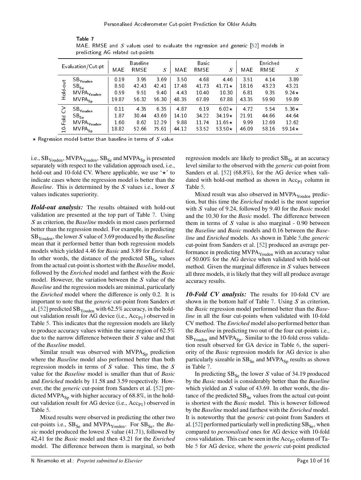<span id="page-11-0"></span>

|                   | predictiong Ad related cut-points |                 |       |       |       |             |               |          |             |               |
|-------------------|-----------------------------------|-----------------|-------|-------|-------|-------------|---------------|----------|-------------|---------------|
| Evaluation/Cut-pt |                                   | <b>Baseline</b> |       |       | Basic |             |               | Enriched |             |               |
|                   |                                   | MAE             | RMSE  | S     | MAE   | <b>RMSE</b> | S             | MAE      | <b>RMSE</b> | S             |
|                   | $\mathsf{SB}_\mathsf{Youden}$     | 0.19            | 3.95  | 369   | 3.50  | 4.68        | 4 4 6         | 351      | 4.14        | 3.89          |
|                   | $SB_{Se}$                         | 850             | 42.43 | 42.41 | 1748  | 41.73       | 41.71 $\star$ | 18.16    | 43.23       | 43.21         |
| Hold-out          | MVPA <sub>Youden</sub>            | 0.59            | 9.51  | 9.40  | 4.43  | 10.40       | 10.30         | 681      | 9 3 5       | 9.24 $\star$  |
|                   | $MVPA_{Sp}$                       | 19.87           | 56.32 | 56.30 | 48.35 | 6789        | 67.88         | 43.35    | 59.90       | 59.89         |
| 3                 | $\mathsf{SB}_\mathsf{Youden}$     | 0.11            | 4.35  | 6.35  | 4.87  | 6.19        | $6.02\star$   | 4.72     | 5.54        | 5.36 $\star$  |
|                   | $SB_{Se}$                         | 187             | 30.44 | 43.69 | 14.10 | 34.22       | $34.19*$      | 21.91    | 44.66       | 44.64         |
| Fold              | MVPA <sub>Youden</sub>            | 1.60            | 8.62  | 12.29 | 988   | 11.74       | 11.65 $\star$ | 9.99     | 12.69       | 12.62         |
| $\overline{5}$    | $\mathsf{MVPA}_{\mathsf{Sp}}$     | 18.82           | 52.66 | 75.61 | 44.12 | 53.52       | 53.50 $\star$ | 46.09    | 58.16       | 59.14 $\star$ |

Table 7 MAE, RMSE and *S* values used to evaluate the regression and generic [\[52\]](#page-17-6) models in predictiong AG related cut-points

*⋆* Regression model better than baseline in terms of *𝑆* value

i.e.,  $SB<sub>Youden</sub>$ , MVPA $<sub>Youden</sub>$ , SB<sub>Se</sub> and MVPA<sub>Sp</sub> is presented</sub> separately with respect to the validation approach used, i.e., hold-out and 10-fold CV. Where applicable, we use '*⋆*' to indicate cases where the regression model is better than the *Baseline*. This is determined by the *S* values i.e., lower *S* values indicates superiority.

*Hold-out analysis:* The results obtained with hold-out validation are presented at the top part of Table [7.](#page-11-0) Using *S* as criterion, the *Baseline* models in most cases performed better than the regression model. For example, in predicting SB<sub>Youden</sub>, the lower *S* value of 3.69 produced by the *Baseline* mean that it performed better than both regression models models which yielded 4.46 for *Basic* and 3.89 for *Enriched*. In other words, the distance of the predicted  $SB_{Se}$  values from the actual cut-point is shortest with the *Baseline* model, followed by the *Enriched* model and farthest with the *Basic* model. However, the variation between the *S* value of the *Baseline* and the regression models are minimal, particularly the *Enriched* model where the difference is only 0.2. It is important to note that the *generic* cut-point from Sanders et al. [\[52\]](#page-17-6) predicted  $SB<sub>Youden</sub>$  with 62.5% accuracy, in the holdout validation result for AG device (i.e.,  $Acc_{P1}$ ) observed in Table [5.](#page-9-0) This indicates that the regression models are likely to produce accuracy values within the same region of 62.5% due to the narrow difference between their *S* value and that of the *Baseline* model.

Similar result was observed with  $MVPA<sub>Sp</sub>$  prediction where the *Baseline* model also performed better than both regression models in terms of *S* value. This time, the *S* value for the *Baseline* model is smaller than that of *Basic* and *Enriched* models by 11.58 and 3.59 respectively. However, the the *generic* cut-point from Sanders et al. [\[52\]](#page-17-6) predicted MVPA $_{\text{Sn}}$  with higher accuracy of 68.8%, in the holdout validation result for AG device (i.e.,  $Acc_{P1}$ ) observed in Table [5.](#page-9-0)

Mixed results were observed in predicting the other two cut-points i.e., SB<sub>Se</sub> and MVPA<sub>Youden</sub>. For SB<sub>Se</sub>, the *Ba* $sic$  model produced the lowest  $S$  value (41.71), followed by 42,41 for the *Basic* model and then 43.21 for the *Enriched* model. The difference between them is marginal, so both regression models are likely to predict  $SB_{Se}$  at an accuracy level similar to the observed with the *generic* cut-point from Sanders et al. [\[52\]](#page-17-6) (68.8%), for the AG device when validated with hold-out method as shown in  $Acc_{P1}$  column in Table [5.](#page-9-0)

Mixed result was also observed in  $MVPA<sub>Youden</sub>$  prediction, but this time the *Enriched* model is the most superior with *S* value of 9.24, followed by 9.40 for the *Basic* model and the 10.30 for the *Basic* model. The difference between them in terms of *S* value is also marginal - 0.90 between the *Baseline* and *Basic* models and 0.16 between the *Baseline* and *Enriched* models. As shown in Table [5,](#page-9-0)the *generic* cut-point from Sanders et al. [\[52\]](#page-17-6) produced an average performance in predicting  $MVPA_{\text{Youden}}$  with an accuracy value of 50.00% for the AG device when validated with hold-out method. Given the marginal difference in *S* values between all three models, it is likely that they will all produce average accuracy results.

*10-Fold CV analysis:* The results for 10-fold CV are shown in the bottom half of Table [7.](#page-11-0) Using *S* as criterion, the *Basic* regression model performed better than the *Baseline* in all the four cut-points when validated with 10-fold CV method. The *Enriched* model also performed better than the *Baseline* in predicting two out of the four cut-points i.e.,  $SB<sub>Youden</sub>$  and MVPA<sub>Sp</sub>. Similar to the 10-fold cross validation result observed for GA device in Table [6,](#page-10-1) the superiority of the *Basic* regression models for AG device is also particularly sizeable in  $SB_{Se}$  and  $MVPA_{Sp}$  results as shown in Table [7.](#page-11-0)

In predicting  $SB_{Se}$  the lower *S* value of 34.19 produced by the *Basic* model is considerably better than the *Baseline* which yielded an *S* value of 43.69. In other words, the distance of the predicted  $SB_{Se}$  values from the actual cut-point is shortest with the *Basic* model. This is however followed by the *Baseline* model and farthest with the *Enriched* model. It is noteworthy that the *generic* cut-point from Sanders et al. [\[52\]](#page-17-6) performed particularly well in predicting  $SB_{Se}$ , when compared to *personalised* ones for AG device with 10-fold cross validation. This can be seen in the  $Acc_{P2}$  column of Table [5](#page-9-0) for AG device, where the *generic* cut-point predicted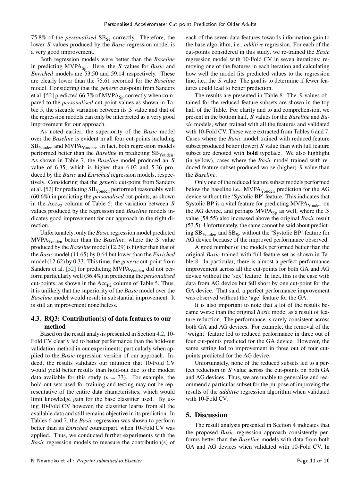75.8% of the *personalised* SB<sub>Se</sub> correctly. Therefore, the lower *S* values produced by the *Basic* regression model is a very good improvement.

Both regression models were better than the *Baseline* in predicting MVPA<sub>Sp</sub>. Here, the *S* values for *Basic* and *Enriched* models are 53.50 and 59.14 respectively. These are clearly lower than the 75.61 recorded for the *Baseline* model. Considering that the *generic* cut-point from Sanders et al. [\[52\]](#page-17-6) predicted 66.7% of MVPA $_{\text{Sn}}$  correctly when compared to the *personalised* cut-point values as shown in Ta-ble [5,](#page-9-0) the sizeable variation between its S value and that of the regression models can only be interpreted as a very good improvement for our approach.

As noted earlier, the superiority of the *Basic* model over the *Baseline* is evident in all four cut-points including SB<sub>Youden</sub> and MVPA<sub>Youden</sub>. In fact, both regression models performed better than the *Baseline* in predicting SB<sub>Youden</sub>. As shown in Table [7,](#page-11-0) the *Baseline* model produced an S value of 6.35, which is higher than 6.02 and 5.36 produced by the *Basic* and *Enriched* regression models, respectively. Considering that the *generic* cut-point from Sanders et al. [\[52\]](#page-17-6) for predicting  $SB<sub>Youden</sub>$  performed reasonably well (60.6%) in predicting the *personalised* cut-points, as shown in the Acc<sub>P2</sub> column of Table [5;](#page-9-0) the variation between  $\boldsymbol{S}$ values produced by the regression and *Baseline* models indicates good improvement for our approach in the right direction.

Unfortunately, only the *Basic* regression model predicted MVPAYouden better than the *Baseline*, where the *𝑆* value produced by the *Baseline* model (12.29) is higher than that of the *Basic* model (11.65) by 0.64 but lower than the *Enriched* model (12.62) by 0.33. This time, the *generic* cut-point from Sanders et al. [\[52\]](#page-17-6) for predicting MVPA<sub>Youden</sub> did not perform particularly well (36.4%) in predicting the *personalised* cut-points, as shown in the  $Acc_{P2}$  column of Table [5.](#page-9-0) Thus, it is unlikely that the superiority of the *Basic* model over the *Baseline* model would result in substantial improvement. It is still an improvement nonetheless.

# **4.3. RQ3: Contribution(s) of data features to our method**

Based on the result analysis presented in Section [4.2,](#page-9-2) 10- Fold CV clearly led to better performance than the hold-out validation method in our experiments; particularly when applied to the *Basic* regression version of our approach. Indeed, the results validates our intuition that 10-Fold CV would yield better results than hold-out due to the modest data available for this study  $(n = 33)$ . For example, the hold-out sets used for training and testing may not be representative of the entire data characteristics, which would limit knowledge gain for the base classifier used. By using 10-Fold CV however, the classifier learns from all the available data and still remains objective in its prediction. In Tables [6](#page-10-1) and [7,](#page-11-0) the *Basic* regression was shown to perform better than its *Enriched* counterpart, when 10-Fold CV was applied. Thus, we conducted further experiments with the *Basic* regression models to measure the contribution(s) of each of the seven data features towards information gain to the base algorithm, i.e., *additive* regression. For each of the cut-points considered in this study, we re-trained the *Basic* regression model with 10-Fold CV in seven iterations; removing one of the features in each iteration and calculating how well the model fits predicted values to the regression line, i.e., the *S* value. The goal is to determine if fewer features could lead to better prediction.

The results are presented in Table [8.](#page-13-0) The *S* values obtained for the reduced feature subsets are shown in the top half of the Table. For clarity and to aid comprehension, we present in the bottom half, *𝑆* values for the *Baseline* and *Basic* models, when trained with all the features and validated with 10-Fold CV. These were extracted from Tables [6](#page-10-1) and [7.](#page-11-0) Cases where the *Basic* model trained with reduced feature subset produced better (lower) *S* value than with full feature subset are denoted with **bold** typeface. We also highlight (in yellow), cases where the *Basic* model trained with reduced feature subset produced worse (higher) *S* value than the *Baseline*.

Only one of the reduced feature subset models performed below the baseline i.e.,  $MVPA_{Youlen}$  prediction for the AG device without the 'Systolic BP' feature. This indicates that Systolic BP is a vital feature for predicting  $MVPA<sub>Youden</sub>$  on the AG device, and perhaps  $MVPA_{Sn}$  as well, where the  $S$ value (58.55) also increased above the original *Basic* result (53.5). Unfortunately, the same cannot be said about predicting  $SB<sub>Youden</sub>$  and  $SB<sub>Se</sub>$  without the 'Systolic BP' feature for AG device because of the improved performance observed.

A good number of the models performed better than the original *Basic* trained with full feature set as shown in Table [8.](#page-13-0) In particular, there is almost a perfect performance improvement across all the cut-points for both GA and AG device without the 'sex' feature. In fact, this is the case with data from AG device but fell short by one cut-point for the GA device. That said, a perfect performance improvement was observed without the 'age' feature for the GA.

It is also important to note that a lot of the results became worse than the original *Basic* model as a result of feature reduction. The performance is rarely consistent across both GA and AG devices. For example, the removal of the 'weight' feature led to reduced performance in three out of four cut-points predicted for the GA device. However, the same setting led to improvement in three out of four cutpoints predicted for the AG device.

Unfortunately, none of the reduced subsets led to a perfect reduction in *S* value across the cut-points on both GA and AG devices. Thus, we are unable to generalise and recommend a particular subset for the purpose of improving the results of the *additive* regression algorithm when validated with 10-Fold CV.

#### <span id="page-12-0"></span>**5. Discussion**

The result analysis presented in Section [4](#page-8-0) indicates that the proposed *Basic* regression approach consistently performs better than the *Baseline* models with data from both GA and AG devices when validated with 10-Fold CV. In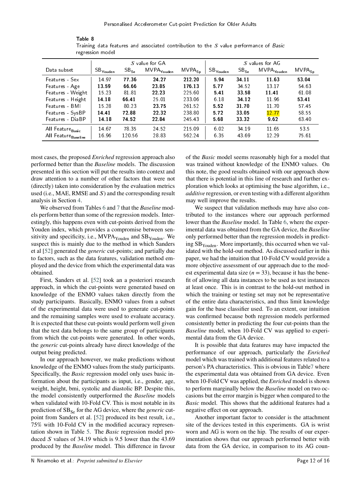<span id="page-13-0"></span>

|                              | regression model       |                 |                        |                               |                                   |           |                        |             |
|------------------------------|------------------------|-----------------|------------------------|-------------------------------|-----------------------------------|-----------|------------------------|-------------|
|                              |                        | S values for AG |                        |                               |                                   |           |                        |             |
| Data subset                  | . SB <sub>Youden</sub> | $SB_{Se}$       | MVPA <sub>Youden</sub> | $\mathsf{MVPA}_{\mathsf{Sp}}$ | $\in \mathsf{SB}_\mathsf{Youden}$ | $SB_{Se}$ | MVPA <sub>Youden</sub> | $MVPA_{Sp}$ |
| Features - Sex               | 14.97                  | 77 36           | 24 27                  | 212 20                        | 594                               | 34 11     | 11 63                  | 53.04       |
| Features - Age               | 13 59                  | 66 66           | 23 85                  | 176.13                        | 5.77                              | 34.52     | 13.17                  | 54.63       |
| Features - Weight            | 15.23                  | 81.81           | 22 23                  | 225.60                        | 5.41                              | 33 58     | 11 41                  | 6108        |
| Features - Height            | 14 18                  | 6641            | 25 01                  | 233.06                        | 6.18                              | 34 12     | 11.96                  | 53.41       |
| Features - BMI               | 15.28                  | 80.23           | 23 75                  | 261.52                        | 5.52                              | 3170      | 11.70                  | 57.45       |
| Features - SysBP             | 14 41                  | 7288            | 22.32                  | 238.80                        | 5.72                              | 33.05     | 12.77                  | 58.55       |
| Features - DiaBP             | 14 18                  | 74 52           | 22 84                  | 245.43                        | 5.68                              | 33 32     | 9.62                   | 63.40       |
| All Feature <sub>Basic</sub> | 14 67                  | 78.35           | 24.52                  | 215.09                        | 6.02                              | 34 19     | 11.65                  | 53.5        |
| All Feature Baseline         | 16.96                  | 120.56          | 28.83                  | 562.24                        | 6.35                              | 43 69     | 12.29                  | 75.61       |

Table 8 Training data features and associated contribution to the *𝑆* value performance of Basic regression model

most cases, the proposed *Enriched* regression approach also performed better than the *Baseline* models. The discussion presented in this section will put the results into context and draw attention to a number of other factors that were not (directly) taken into consideration by the evaluation metrics used (i.e., MAE, RMSE and *S*) and the corresponding result analysis in Section [4.](#page-8-0)

We observed from Tables [6](#page-10-1) and [7](#page-11-0) that the *Baseline* models perform better than some of the regression models. Interestingly, this happens even with cut-points derived from the Youden index, which provides a compromise between sensitivity and specificity, i.e.,  $MVPA<sub>Youden</sub>$  and  $SB<sub>Youden</sub>$ . We suspect this is mainly due to the method in which Sanders et al [\[52\]](#page-17-6) generated the *generic* cut-points; and partially due to factors, such as the data features, validation method employed and the device from which the experimental data was obtained.

First, Sanders et al. [\[52\]](#page-17-6) took an a posteriori research approach, in which the cut-points were generated based on knowledge of the ENMO values taken directly from the study participants. Basically, ENMO values from a subset of the experimental data were used to generate cut-points and the remaining samples were used to evaluate accuracy. It is expected that these cut-points would perform well given that the test data belongs to the same group of participants from which the cut-points were generated. In other words, the *generic* cut-points already have direct knowledge of the output being predicted.

In our approach however, we make predictions without knowledge of the ENMO values from the study participants. Specifically, the *Basic* regression model only uses basic information about the participants as input, i.e., gender, age, weight, height, bmi, systolic and diastolic BP. Despite this, the model consistently outperformed the *Baseline* models when validated with 10-Fold CV. This is most notable in its prediction of SB<sub>Se</sub> for the AG device, where the *generic* cutpoint from Sanders et al. [\[52\]](#page-17-6) produced its best result, i.e., 75% with 10-Fold CV in the modified accuracy representation shown in Table [5.](#page-9-0) The *Basic* regression model produced *S* values of 34.19 which is 9.5 lower than the 43.69 produced by the *Baseline* model. This difference in favour

of the *Basic* model seems reasonably high for a model that was trained without knowledge of the ENMO values. On this note, the good results obtained with our approach show that there is potential in this line of research and further exploration which looks at optimising the base algorithm, i.e., *additive* regression, or even testing with a different algorithm may well improve the results.

We suspect that validation methods may have also contributed to the instances where our approach performed lower than the *Baseline* model. In Table [6,](#page-10-1) where the experimental data was obtained from the GA device, the *Baseline* only performed better than the regression models in predicting  $SB<sub>Youden</sub>$ . More importantly, this occurred when we validated with the hold-out method. As discussed earlier in this paper, we had the intuition that 10-Fold CV would provide a more objective assessment of our approach due to the modest experimental data size  $(n = 33)$ , because it has the benefit of allowing all data instances to be used as test instances at least once. This is in contrast to the hold-out method in which the training or testing set may not be representative of the entire data characteristics, and thus limit knowledge gain for the base classifier used. To an extent, our intuition was confirmed because both regression models performed consistently better in predicting the four cut-points than the *Baseline* model, when 10-Fold CV was applied to experimental data from the GA device.

It is possible that data features may have impacted the performance of our approach, particularly the *Enriched* model which was trained with additional features related to a person's PA characteristics. This is obvious in Tabl[e7](#page-11-0) where the experimental data was obtained from GA device. Even when 10-Fold CV was applied, the *Enriched* model is shown to perform marginally below the *Baseline* model on two occasions but the error margin is bigger when compared to the *Basic* model. This shows that the additional features had a negative effect on our approach.

Another important factor to consider is the attachment site of the devices tested in this experiments. GA is wrist worn and AG is worn on the hip. The results of our experimentation shows that our approach performed better with data from the GA device, in comparison to its AG coun-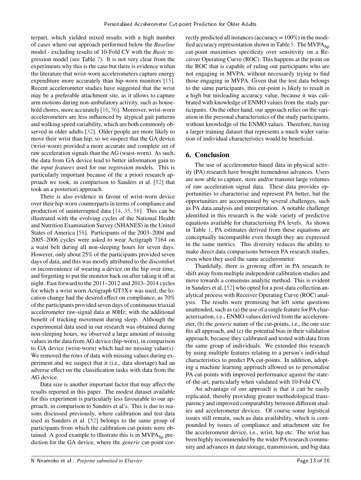terpart, which yielded mixed results with a high number of cases where our approach performed below the *Baseline* model - excluding results of 10-Fold CV with the *Basic* regression model (see Table [7\)](#page-11-0). It is not very clear from the experiments why this is the case but there is evidence within the literature that wrist-worn accelerometers capture energy expenditure more accurately than hip-worn monitors [\[15\]](#page-15-18). Recent accelerometer studies have suggested that the wrist may be a preferable attachment site, as it allows to capture arm motions during non-ambulatory activity, such as house-hold chores, more accurately [\[16,](#page-15-19) [36\]](#page-16-23). Moreover, wrist-worn accelerometers are less influenced by atypical gait patterns and walking speed variability, which are both commonly observed in older adults [\[32\]](#page-16-24). Older people are more likely to move their wrist than hip, so we suspect that the GA device (wrist-worn) provided a more accurate and complete set of raw acceleration signals than the AG (waist-worn). As such, the data from GA device lead to better information gain to the *input features* used for our regression models. This is particularly important because of the a priori research approach we took, in comparison to Sanders et al. [\[52\]](#page-17-6) that took an a posteriori approach.

There is also evidence in favour of wrist-worn device over their hip-worn counterparts in terms of compliance and production of uninterrupted data [\[14,](#page-15-20) [35,](#page-16-25) [58\]](#page-17-16). This can be illustrated with the evolving cycles of the National Health and Nutrition Examination Survey (NHANES) in the United States of America [\[58\]](#page-17-16). Participants of the 2003–2004 and 2005–2006 cycles were asked to wear Actigraph 7164 on a waist belt during all non-sleeping hours for seven days. However, only about 25% of the participants provided seven days of data, and this was mostly attributed to the discomfort or inconvenience of wearing a device on the hip over time, and forgetting to put the monitor back on after taking it off at night. Fast forward to the 2011–2012 and 2013–2014 cycles for which a wrist worn Actigraph GT3X+ was used, the location change had the desired effect on compliance, as 70% of the participants provided seven days of continuous triaxial accelerometer raw-signal data at 80Hz; with the additional benefit of tracking movement during sleep. Although the experimental data used in our research was obtained during non-sleeping hours, we observed a large amount of missing values in the data from AG device (hip-worn), in comparison to GA device (wrist-worn) which had no missing value(s). We removed the rows of data with missing values during experiment and we suspect that it (i.e., data shortage) had an adverse effect on the classification tasks with data from the AG device.

Data size is another important factor that may affect the results reported in this paper. The modest dataset available for this experiment is particularly less favourable to our approach, in comparison to Sanders et al's. This is due to reasons discussed previously, where calibration and test data used in Sanders et al. [\[52\]](#page-17-6) belongs to the same group of participants from which the calibration cut-points were obtained. A good example to illustrate this is in  $MVPA_{Sp}$  prediction for the GA device, where the *generic* cut-point correctly predicted all instances (accuracy = 100%) in the modi-fied accuracy representation shown in Table [5.](#page-9-0) The  $MVPA_{S_p}$ cut-point maximises specificity over sensitivity on a Receiver Operating Curve (ROC). This happens at the point on the ROC that is capable of ruling out participants who are not engaging in MVPA, without necessarily trying to find those engaging in MVPA. Given that the test data belongs to the same participants, this cut-point is likely to result in a high but misleading accuracy value, because it was calibrated with knowledge of ENMO values from the study participants. On the other hand, our approach relies on the variation in the personal characteristics of the study participants, without knowledge of the ENMO values. Therefore, having a larger training dataset that represents a much wider variation of individual characteristics would be beneficial.

# <span id="page-14-0"></span>**6. Conclusion**

The use of accelerometer-based data in physical activity (PA) research have brought tremendous advances. Users are now able to capture, store and/or transmit large volumes of raw acceleration signal data. These data provides opportunities to characterise and represent PA better, but the opportunities are accompanied by several challenges, such as PA data analysis and interpretation. A notable challenge identified in this research is the wide variety of predictive equations available for characterising PA levels. As shown in Table [1,](#page-5-1) PA estimates derived from these equations are conceptually incompatible even though they are expressed in the same metrics. This diversity reduces the ability to make direct data comparisons between PA research studies, even when they used the same accelerometer.

Thankfully, there is growing effort in PA research to shift away from multiple independent calibration studies and move towards a consensus analytic method. This is evident in Sanders et al. [\[52\]](#page-17-6) who opted for a post-data collection analytical process with Receiver Operating Curve (ROC) analysis. The results were promising but left some questions unattended, such as (a) the use of a single feature for PA characterisation, i.e., ENMO values derived from the accelerometer, (b) the *generic* nature of the cut-points, i.e., the one size fits all approach, and (c) the potential bias in their validation approach, because they calibrated and tested with data from the same group of individuals. We extended this research by using multiple features relating to a person's individual characteristics to predict PA cut-points. In addition, adopting a machine learning approach allowed us to personalise PA cut-points with improved performance against the stateof-the-art, particularly when validated with 10-Fold CV.

An advantage of our approach is that it can be easily replicated, thereby providing greater methodological transparency and improved comparability between different studies and accelerometer devices. Of course some logistical issues still remain, such as data availability, which is compounded by issues of compliance and attachment site for the accelerometer device, i.e., wrist, hip etc. The wrist has been highly recommended by the wider PA research community and advances in data storage, transmission, and big data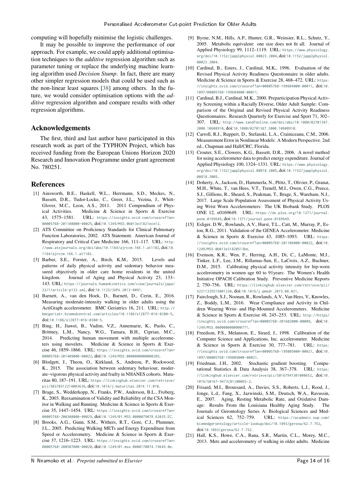computing will hopefully minimise the logistic challenges.

It may be possible to improve the performance of our approach. For example, we could apply additional optimisation techniques to the *additive* regression algorithm such as parameter tuning or replace the underlying machine learning algorithm used *Decision Stump*. In fact, there are many other simpler regression models that could be used such as the non-linear least squares [\[38\]](#page-16-26) among others. In the future, we would consider optimisation options with the *additive* regression algorithm and compare results with other regression algorithms.

#### **Acknowledgements**

The first, third and last author have participated in this research work as part of the TYPHON Project, which has received funding from the European Unions Horizon 2020 Research and Innovation Programme under grant agreement No. 780251.

#### **References**

- <span id="page-15-1"></span>[1] Ainsworth, B.E., Haskell, W.L., Herrmann, S.D., Meckes, N., Bassett, D.R., Tudor-Locke, C., Greer, J.L., Vezina, J., Whitt-Glover, M.C., Leon, A.S., 2011. 2011 Compendium of Physical Activities. Medicine & Science in Sports & Exercise 43, 1575–1581. URL: [https://insights.ovid.com/crossref?an=](https://insights.ovid.com/crossref?an=00005768-201108000-00025) [00005768-201108000-00025](https://insights.ovid.com/crossref?an=00005768-201108000-00025), doi:[10.1249/MSS.0b013e31821ece12](http://dx.doi.org/10.1249/MSS.0b013e31821ece12).
- <span id="page-15-16"></span>[2] ATS Committee on Proficiency Standards for Clinical Pulmonary Function Laboratories, 2002. ATS Statement. American Journal of Respiratory and Critical Care Medicine 166, 111–117. URL: [http:](http://www.atsjournals.org/doi/abs/10.1164/ajrccm.166.1.at1102) [//www.atsjournals.org/doi/abs/10.1164/ajrccm.166.1.at1102](http://www.atsjournals.org/doi/abs/10.1164/ajrccm.166.1.at1102), doi:[10.](http://dx.doi.org/10.1164/ajrccm.166.1.at1102) [1164/ajrccm.166.1.at1102](http://dx.doi.org/10.1164/ajrccm.166.1.at1102).
- <span id="page-15-3"></span>[3] Barber, S.E., Forster, A., Birch, K.M., 2015. Levels and patterns of daily physical activity and sedentary behavior measured objectively in older care home residents in the united kingdom. Journal of Aging and Physical Activity 23, 133– 143. URL: [https://journals.humankinetics.com/view/journals/japa/](https://journals.humankinetics.com/view/journals/japa/23/1/article-p133.xml) [23/1/article-p133.xml](https://journals.humankinetics.com/view/journals/japa/23/1/article-p133.xml), doi:[10.1123/JAPA.2013-0091](http://dx.doi.org/10.1123/JAPA.2013-0091).
- <span id="page-15-2"></span>[4] Barnett, A., van den Hoek, D., Barnett, D., Cerin, E., 2016. Measuring moderate-intensity walking in older adults using the ActiGraph accelerometer. BMC Geriatrics 16, 211. URL: [http://](http://bmcgeriatr.biomedcentral.com/articles/10.1186/s12877-016-0380-5) [bmcgeriatr.biomedcentral.com/articles/10.1186/s12877-016-0380-5](http://bmcgeriatr.biomedcentral.com/articles/10.1186/s12877-016-0380-5), doi:[10.1186/s12877-016-0380-5](http://dx.doi.org/10.1186/s12877-016-0380-5).
- <span id="page-15-0"></span>[5] Bing, H., Jiawei, B., Vadim, V.Z., Annemarie, K., Paolo, C., Brittney, L.M., Nancy, W.G., Tamara, B.H., Ciprian, M.C., 2014. Predicting human movement with multiple accelerometers using movelets. Medicine & Science in Sports & Exercise 46, 1859–1866. URL: [https://insights.ovid.com/crossref?an=](https://insights.ovid.com/crossref?an=00005768-201409000-00022) [00005768-201409000-00022](https://insights.ovid.com/crossref?an=00005768-201409000-00022), doi:[10.1249/MSS.0000000000000285](http://dx.doi.org/10.1249/MSS.0000000000000285).
- <span id="page-15-4"></span>[6] Blodgett, J., Theou, O., Kirkland, S., Andreou, P., Rockwood, K., 2015. The association between sedentary behaviour, moderate–vigorous physical activity and frailty in NHANES cohorts. Maturitas 80, 187–191. URL: [https://linkinghub.elsevier.com/retrieve/](https://linkinghub.elsevier.com/retrieve/pii/S0378512214003636) [pii/S0378512214003636](https://linkinghub.elsevier.com/retrieve/pii/S0378512214003636), doi:[10.1016/j.maturitas.2014.11.010](http://dx.doi.org/10.1016/j.maturitas.2014.11.010).
- <span id="page-15-9"></span>[7] Brage, S., Wedderkopp, N., Franks, P.W., Anderson, B.L., Froberg, K., 2003. Reexamination of Validity and Reliability of the CSA Monitor in Walking and Running. Medicine & Science in Sports & Exercise 35, 1447–1454. URL: [https://insights.ovid.com/crossref?an=](https://insights.ovid.com/crossref?an=00005768-200308000-00029) [00005768-200308000-00029](https://insights.ovid.com/crossref?an=00005768-200308000-00029), doi:[10.1249/01.MSS.0000079078.62035.EC](http://dx.doi.org/10.1249/01.MSS.0000079078.62035.EC).
- <span id="page-15-11"></span>[8] Brooks, A.G., Gunn, S.M., Withers, R.T., Gore, C.J., Plummer, J.L., 2005. Predicting Walking METs and Energy Expenditure from Speed or Accelerometry. Medicine & Science in Sports & Exercise 37, 1216–1223. URL: [https://insights.ovid.com/crossref?an=](https://insights.ovid.com/crossref?an=00005768-200507000-00020) [00005768-200507000-00020](https://insights.ovid.com/crossref?an=00005768-200507000-00020), doi:[10.1249/01.mss.0000170074.19649.0e](http://dx.doi.org/10.1249/01.mss.0000170074.19649.0e).
- <span id="page-15-5"></span>[9] Byrne, N.M., Hills, A.P., Hunter, G.R., Weinsier, R.L., Schutz, Y., 2005. Metabolic equivalent: one size does not fit all. Journal of Applied Physiology 99, 1112–1119. URL: [https://www.physiology.](https://www.physiology.org/doi/10.1152/japplphysiol.00023.2004) [org/doi/10.1152/japplphysiol.00023.2004](https://www.physiology.org/doi/10.1152/japplphysiol.00023.2004), doi:[10.1152/japplphysiol.](http://dx.doi.org/10.1152/japplphysiol.00023.2004) [00023.2004](http://dx.doi.org/10.1152/japplphysiol.00023.2004).
- <span id="page-15-14"></span>[10] Cardinal, B., Esters, J., Cardinal, M.K., 1996. Evaluation of the Revised Physical Activity Readiness Questionnaire in older adults. Medicine & Science in Sports & Exercise 28, 468–472. URL: [https:](https://insights.ovid.com/crossref?an=00005768-199604000-00011) [//insights.ovid.com/crossref?an=00005768-199604000-00011](https://insights.ovid.com/crossref?an=00005768-199604000-00011), doi:[10.](http://dx.doi.org/10.1097/00005768-199604000-00011) [1097/00005768-199604000-00011](http://dx.doi.org/10.1097/00005768-199604000-00011).
- <span id="page-15-15"></span>[11] Cardinal, B.J., Cardinal, M.K., 2000. Preparticipation Physical Activity Screening within a Racially Diverse, Older Adult Sample: Comparison of the Original and Revised Physical Activity Readiness Questionnaires. Research Quarterly for Exercise and Sport 71, 302– 307. URL: [http://www.tandfonline.com/doi/abs/10.1080/02701367.](http://www.tandfonline.com/doi/abs/10.1080/02701367.2000.10608910) [2000.10608910](http://www.tandfonline.com/doi/abs/10.1080/02701367.2000.10608910), doi:[10.1080/02701367.2000.10608910](http://dx.doi.org/10.1080/02701367.2000.10608910).
- <span id="page-15-17"></span>[12] Carroll, R.J., Ruppert, D., Stefanski, L.A., Crainiceanu, C.M., 2006. Measurement Error in Nonlinear Models: A Modern Perspective. 2nd ed., Chapman and Hall/CRC, Florida.
- <span id="page-15-12"></span>[13] Crouter, S.E., Clowers, K.G., Bassett, D.R., 2006. A novel method for using accelerometer data to predict energy expenditure. Journal of Applied Physiology 100, 1324–1331. URL: [https://www.physiology.](https://www.physiology.org/doi/10.1152/japplphysiol.00818.2005) [org/doi/10.1152/japplphysiol.00818.2005](https://www.physiology.org/doi/10.1152/japplphysiol.00818.2005), doi:[10.1152/japplphysiol.](http://dx.doi.org/10.1152/japplphysiol.00818.2005) 00818 2005
- <span id="page-15-20"></span>[14] Doherty, A., Jackson, D., Hammerla, N., Plötz, T., Olivier, P., Granat, M.H., White, T., van Hees, V.T., Trenell, M.I., Owen, C.G., Preece, S.J., Gillions, R., Sheard, S., Peakman, T., Brage, S., Wareham, N.J., 2017. Large Scale Population Assessment of Physical Activity Using Wrist Worn Accelerometers: The UK Biobank Study. PLOS ONE 12, e0169649. URL: [https://dx.plos.org/10.1371/journal.](https://dx.plos.org/10.1371/journal.pone.0169649) [pone.0169649](https://dx.plos.org/10.1371/journal.pone.0169649), doi:[10.1371/journal.pone.0169649](http://dx.doi.org/10.1371/journal.pone.0169649).
- <span id="page-15-18"></span>[15] Esliger, D.W., Rowlands, A.V., Hurst, T.L., Catt, M., Murray, P., Eston, R.G., 2011. Validation of the GENEA Accelerometer. Medicine & Science in Sports & Exercise 43, 1085–1093. URL: [https:](https://insights.ovid.com/crossref?an=00005768-201106000-00022) [//insights.ovid.com/crossref?an=00005768-201106000-00022](https://insights.ovid.com/crossref?an=00005768-201106000-00022), doi:[10.](http://dx.doi.org/10.1249/MSS.0b013e31820513be) [1249/MSS.0b013e31820513be](http://dx.doi.org/10.1249/MSS.0b013e31820513be).
- <span id="page-15-19"></span>[16] Evenson, K.R., Wen, F., Herring, A.H., Di, C., LaMonte, M.J., Tinker, L.F., Lee, I.M., Rillamas-Sun, E., LaCroix, A.Z., Buchner, D.M., 2015. Calibrating physical activity intensity for hip-worn accelerometry in women age 60 to 91years: The Women's Health Initiative OPACH Calibration Study. Preventive Medicine Reports 2, 750–756. URL: [https://linkinghub.elsevier.com/retrieve/pii/](https://linkinghub.elsevier.com/retrieve/pii/S2211335515001230) [S2211335515001230](https://linkinghub.elsevier.com/retrieve/pii/S2211335515001230), doi:[10.1016/j.pmedr.2015.08.021](http://dx.doi.org/10.1016/j.pmedr.2015.08.021).
- <span id="page-15-13"></span>[17] Fairclough, S.J., Noonan, R., Rowlands, A.V., Van Hees, V., Knowles, Z., Boddy, L.M., 2016. Wear Compliance and Activity in Children Wearing Wrist- and Hip-Mounted Accelerometers. Medicine & Science in Sports & Exercise 48, 245–253. URL: [http://https/](http://https//insights.ovid.com/crossref?an=00005768-201602000-00009) [/insights.ovid.com/crossref?an=00005768-201602000-00009](http://https//insights.ovid.com/crossref?an=00005768-201602000-00009), doi:[10.](http://dx.doi.org/10.1249/MSS.0000000000000771) [1249/MSS.0000000000000771](http://dx.doi.org/10.1249/MSS.0000000000000771).
- <span id="page-15-10"></span>[18] Freedson, P.S., Melanson, E., Sirard, J., 1998. Calibration of the Computer Science and Applications, Inc. accelerometer. Medicine & Science in Sports & Exercise 30, 777–781. URL: [https:](https://insights.ovid.com/crossref?an=00005768-199805000-00021) [//insights.ovid.com/crossref?an=00005768-199805000-00021](https://insights.ovid.com/crossref?an=00005768-199805000-00021), doi:[10.](http://dx.doi.org/10.1097/00005768-199805000-00021) [1097/00005768-199805000-00021](http://dx.doi.org/10.1097/00005768-199805000-00021).
- <span id="page-15-8"></span>[19] Friedman, J.H., 2002. Stochastic gradient boosting. Computational Statistics & Data Analysis 38, 367–378. URL: [https:](https://linkinghub.elsevier.com/retrieve/pii/S0167947301000652) [//linkinghub.elsevier.com/retrieve/pii/S0167947301000652](https://linkinghub.elsevier.com/retrieve/pii/S0167947301000652), doi:[10.](http://dx.doi.org/10.1016/S0167-9473(01)00065-2) [1016/S0167-9473\(01\)00065-2](http://dx.doi.org/10.1016/S0167-9473(01)00065-2).
- <span id="page-15-6"></span>[20] Frisard, M.I., Broussard, A., Davies, S.S., Roberts, L.J., Rood, J., Jonge, L.d., Fang, X., Jazwinski, S.M., Deutsch, W.A., Ravussin, E., 2007. Aging, Resting Metabolic Rate, and Oxidative Damage: Results From the Louisiana Healthy Aging Study. The Journals of Gerontology Series A: Biological Sciences and Medical Sciences 62, 752–759. URL: [https://academic.oup.com/](https://academic.oup.com/biomedgerontology/article-lookup/doi/10.1093/gerona/62.7.752) [biomedgerontology/article-lookup/doi/10.1093/gerona/62.7.752](https://academic.oup.com/biomedgerontology/article-lookup/doi/10.1093/gerona/62.7.752), doi:[10.1093/gerona/62.7.752](http://dx.doi.org/10.1093/gerona/62.7.752).
- <span id="page-15-7"></span>[21] Hall, K.S., Howe, C.A., Rana, S.R., Martin, C.L., Morey, M.C., 2013. Mets and accelerometry of walking in older adults. Medicine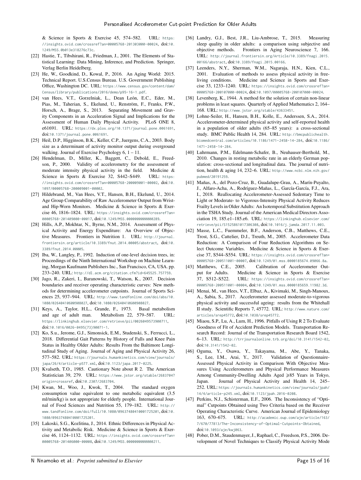& Science in Sports & Exercise 45, 574–582. URL: [https:](https://insights.ovid.com/crossref?an=00005768-201303000-00024) [//insights.ovid.com/crossref?an=00005768-201303000-00024](https://insights.ovid.com/crossref?an=00005768-201303000-00024), doi:[10.](http://dx.doi.org/10.1249/MSS.0b013e318276c73c) [1249/MSS.0b013e318276c73c](http://dx.doi.org/10.1249/MSS.0b013e318276c73c).

- <span id="page-16-19"></span>[22] Hastie, T., Tibshirani, R., Friedman, J., 2001. The Elements of Statistical Learning: Data Mining, Inference, and Prediction. Springer, Verlag Berlin Heidelberg.
- <span id="page-16-10"></span>[23] He, W., Goodkind, D., Kowal, P., 2016. An Aging World: 2015. Technical Report. U.S.Census Bureau. U.S. Government Publishing Office, Washington DC. URL: [https://www.census.gov/content/dam/](https://www.census.gov/content/dam/Census/library/publications/2016/demo/p95-16-1.pdf) [Census/library/publications/2016/demo/p95-16-1.pdf](https://www.census.gov/content/dam/Census/library/publications/2016/demo/p95-16-1.pdf).
- <span id="page-16-16"></span>[24] van Hees, V.T., Gorzelniak, L., Dean León, E.C., Eder, M., Pias, M., Taherian, S., Ekelund, U., Renström, F., Franks, P.W., Horsch, A., Brage, S., 2013. Separating Movement and Gravity Components in an Acceleration Signal and Implications for the Assessment of Human Daily Physical Activity. PLoS ONE 8, e61691. URL: <https://dx.plos.org/10.1371/journal.pone.0061691>, doi:[10.1371/journal.pone.0061691](http://dx.doi.org/10.1371/journal.pone.0061691).
- <span id="page-16-12"></span>[25] Heil, D.P., Higginson, B.K., Keller, C.P., Juergens, C.A., 2003. Body size as a determinant of activity monitor output during overground walking. Journal of Exercise Psychology 6,  $1 - 11$ .
- <span id="page-16-17"></span>[26] Hendelman, D., Miller, K., Baggett, C., Debold, E., Freedson, P., 2000. Validity of accelerometry for the assessment of moderate intensity physical activity in the field. Medicine & Science in Sports & Exercise 32, S442-S449. URL: [https:](https://insights.ovid.com/crossref?an=00005768-200009001-00002) [//insights.ovid.com/crossref?an=00005768-200009001-00002](https://insights.ovid.com/crossref?an=00005768-200009001-00002), doi:[10.](http://dx.doi.org/10.1097/00005768-200009001-00002) [1097/00005768-200009001-00002](http://dx.doi.org/10.1097/00005768-200009001-00002).
- <span id="page-16-14"></span>[27] Hildebrand, M., Van Hees, V.T., Hansen, B.H., Ekelund, U., 2014. Age Group Comparability of Raw Accelerometer Output from Wristand Hip-Worn Monitors. Medicine & Science in Sports & Exercise 46, 1816–1824. URL: [https://insights.ovid.com/crossref?an=](https://insights.ovid.com/crossref?an=00005768-201409000-00017) [00005768-201409000-00017](https://insights.ovid.com/crossref?an=00005768-201409000-00017), doi:[10.1249/MSS.0000000000000289](http://dx.doi.org/10.1249/MSS.0000000000000289).
- <span id="page-16-3"></span>[28] Hills, A.P., Mokhtar, N., Byrne, N.M., 2014. Assessment of Physical Activity and Energy Expenditure: An Overview of Objective Measures. Frontiers in Nutrition 1. URL: [http://journal.](http://journal.frontiersin.org/article/10.3389/fnut.2014.00005/abstract) [frontiersin.org/article/10.3389/fnut.2014.00005/abstract](http://journal.frontiersin.org/article/10.3389/fnut.2014.00005/abstract), doi:[10.](http://dx.doi.org/10.3389/fnut.2014.00005) [3389/fnut.2014.00005](http://dx.doi.org/10.3389/fnut.2014.00005).
- <span id="page-16-20"></span>[29] Iba, W., Langley, P., 1992. Induction of one-level decision trees, in: Proceedings of the Ninth International Workshop on Machine Learning, Morgan Kaufmann Publishers Inc., San Francisco, CA, USA. pp. 233–240. URL: <http://dl.acm.org/citation.cfm?id=645525.757759>.
- <span id="page-16-9"></span>[30] Jago, R., Zakeri, I., Baranowski, T., Watson, K., 2007. Decision boundaries and receiver operating characteristic curves: New methods for determining accelerometer cutpoints. Journal of Sports Sciences 25, 937–944. URL: [http://www.tandfonline.com/doi/abs/10.](http://www.tandfonline.com/doi/abs/10.1080/02640410600908027) [1080/02640410600908027](http://www.tandfonline.com/doi/abs/10.1080/02640410600908027), doi:[10.1080/02640410600908027](http://dx.doi.org/10.1080/02640410600908027).
- <span id="page-16-6"></span>[31] Keys, A., Taylor, H.L., Grande, F., 1973. Basal metabolism and age of adult man. Metabolism 22, 579–587. URL: <https://linkinghub.elsevier.com/retrieve/pii/0026049573900711>, doi:[10.1016/0026-0495\(73\)90071-1](http://dx.doi.org/10.1016/0026-0495(73)90071-1).
- <span id="page-16-24"></span>[32] Ko, S.u., Jerome, G.J., Simonsick, E.M., Studenski, S., Ferrucci, L., 2018. Differential Gait Patterns by History of Falls and Knee Pain Status in Healthy Older Adults: Results From the Baltimore Longitudinal Study of Aging. Journal of Aging and Physical Activity 26, 577–582. URL: [https://journals.humankinetics.com/view/journals/](https://journals.humankinetics.com/view/journals/japa/26/4/article-p577.xml) [japa/26/4/article-p577.xml](https://journals.humankinetics.com/view/journals/japa/26/4/article-p577.xml), doi:[10.1123/japa.2017-0225](http://dx.doi.org/10.1123/japa.2017-0225).
- <span id="page-16-22"></span>[33] Kvalseth, T.O., 1985. Cautionary Note about R 2. The American Statistician 39, 279. URL: [https://www.jstor.org/stable/2683704?](https://www.jstor.org/stable/2683704?origin=crossref) [origin=crossref](https://www.jstor.org/stable/2683704?origin=crossref), doi:[10.2307/2683704](http://dx.doi.org/10.2307/2683704).
- <span id="page-16-5"></span>[34] Kwan, M., Woo, J., Kwok, T., 2004. The standard oxygen consumption value equivalent to one metabolic equivalent (3.5 ml/min/kg) is not appropriate for elderly people. International Journal of Food Sciences and Nutrition 55, 179–182. URL: [http://](http://www.tandfonline.com/doi/full/10.1080/09637480410001725201) [www.tandfonline.com/doi/full/10.1080/09637480410001725201](http://www.tandfonline.com/doi/full/10.1080/09637480410001725201), doi:[10.](http://dx.doi.org/10.1080/09637480410001725201) [1080/09637480410001725201](http://dx.doi.org/10.1080/09637480410001725201).
- <span id="page-16-25"></span>[35] Lakoski, S.G., Kozlitina, J., 2014. Ethnic Differences in Physical Activity and Metabolic Risk. Medicine & Science in Sports & Exercise 46, 1124–1132. URL: [https://insights.ovid.com/crossref?an=](https://insights.ovid.com/crossref?an=00005768-201406000-00008) [00005768-201406000-00008](https://insights.ovid.com/crossref?an=00005768-201406000-00008), doi:[10.1249/MSS.0000000000000211](http://dx.doi.org/10.1249/MSS.0000000000000211).
- <span id="page-16-23"></span>[36] Landry, G.J., Best, J.R., Liu-Ambrose, T., 2015. Measuring sleep quality in older adults: a comparison using subjective and objective methods. Frontiers in Aging Neuroscience 7, 166. URL: [http://journal.frontiersin.org/Article/10.3389/fnagi.2015.](http://journal.frontiersin.org/Article/10.3389/fnagi.2015.00166/abstract) [00166/abstract](http://journal.frontiersin.org/Article/10.3389/fnagi.2015.00166/abstract), doi:[10.3389/fnagi.2015.00166](http://dx.doi.org/10.3389/fnagi.2015.00166).
- <span id="page-16-11"></span>[37] Leenders, N.Y., Sherman, W.M., Nagaraja, H.N., Kien, C.L., 2001. Evaluation of methods to assess physical activity in freeliving conditions. Medicine and Science in Sports and Exercise 33, 1233–1240. URL: [https://insights.ovid.com/crossref?an=](https://insights.ovid.com/crossref?an=00005768-200107000-00024) [00005768-200107000-00024](https://insights.ovid.com/crossref?an=00005768-200107000-00024), doi:[10.1097/00005768-200107000-00024](http://dx.doi.org/10.1097/00005768-200107000-00024).
- <span id="page-16-26"></span>[38] Levenberg, K., 1944. A method for the solution of certain non-linear problems in least squares. Quarterly of Applied Mathematics 2, 164– 168. URL: <http://www.jstor.org/stable/43633451>.
- <span id="page-16-4"></span>[39] Lohne-Seiler, H., Hansen, B.H., Kolle, E., Anderssen, S.A., 2014. Accelerometer-determined physical activity and self-reported health in a population of older adults (65–85 years): a cross-sectional study. BMC Public Health 14, 284. URL: [http://bmcpublichealth.](http://bmcpublichealth.biomedcentral.com/articles/10.1186/1471-2458-14-284) [biomedcentral.com/articles/10.1186/1471-2458-14-284](http://bmcpublichealth.biomedcentral.com/articles/10.1186/1471-2458-14-284), doi:[10.1186/](http://dx.doi.org/10.1186/1471-2458-14-284) [1471-2458-14-284](http://dx.doi.org/10.1186/1471-2458-14-284).
- <span id="page-16-7"></span>[40] Luhrmann, P.M., Edelmann-Schafer, B., Neuhauser-Berthold, M., 2010. Changes in resting metabolic rate in an elderly German population: cross-sectional and longitudinal data. The journal of nutrition, health & aging 14, 232–6. URL: [http://www.ncbi.nlm.nih.gov/](http://www.ncbi.nlm.nih.gov/pubmed/20191259) [pubmed/20191259](http://www.ncbi.nlm.nih.gov/pubmed/20191259).
- <span id="page-16-0"></span>[41] Mañas, A., del Pozo-Cruz, B., Guadalupe-Grau, A., Marín-Puyalto, J., Alfaro-Acha, A., Rodríguez-Mañas, L., García-García, F.J., Ara, I., 2018. Reallocating Accelerometer-Assessed Sedentary Time to Light or Moderate- to Vigorous-Intensity Physical Activity Reduces Frailty Levels in Older Adults: An Isotemporal Substitution Approach in the TSHA Study. Journal of the American Medical Directors Association 19, 185.e1–185.e6. URL: [https://linkinghub.elsevier.com/](https://linkinghub.elsevier.com/retrieve/pii/S1525861017306308) [retrieve/pii/S1525861017306308](https://linkinghub.elsevier.com/retrieve/pii/S1525861017306308), doi:[10.1016/j.jamda.2017.11.003](http://dx.doi.org/10.1016/j.jamda.2017.11.003).
- <span id="page-16-8"></span>[42] Masse, L.C., Fuemmeler, B.F., Anderson, C.B., Matthews, C.E., Trost, S.G., Cattelier, D.J., Treuth, M., 2005. Accelerometer Data Reduction: A Comparison of Four Reduction Algorithms on Select Outcome Variables. Medicine & Science in Sports & Exercise 37, S544–S554. URL: [https://insights.ovid.com/crossref?an=](https://insights.ovid.com/crossref?an=00005768-200511001-00007) [00005768-200511001-00007](https://insights.ovid.com/crossref?an=00005768-200511001-00007), doi:[10.1249/01.mss.0000185674.09066.8a](http://dx.doi.org/10.1249/01.mss.0000185674.09066.8a).
- <span id="page-16-2"></span>[43] Matthews, C.E., 2005. Calibration of Accelerometer Output for Adults. Medicine & Science in Sports & Exercise 37, S512–S522. URL: [https://insights.ovid.com/crossref?an=](https://insights.ovid.com/crossref?an=00005768-200511001-00004) [00005768-200511001-00004](https://insights.ovid.com/crossref?an=00005768-200511001-00004), doi:[10.1249/01.mss.0000185659.11982.3d](http://dx.doi.org/10.1249/01.mss.0000185659.11982.3d).
- <span id="page-16-15"></span>[44] Menai, M., van Hees, V.T., Elbaz, A., Kivimaki, M., Singh-Manoux, A., Sabia, S., 2017. Accelerometer assessed moderate-to-vigorous physical activity and successful ageing: results from the Whitehall II study. Scientific Reports 7, 45772. URL: [http://www.nature.com/](http://www.nature.com/articles/srep45772) [articles/srep45772](http://www.nature.com/articles/srep45772), doi:[10.1038/srep45772](http://dx.doi.org/10.1038/srep45772).
- <span id="page-16-21"></span>[45] Miaou, S.P., Lu, A., Lum, H., 1996. Pitfalls of Using R 2 To Evaluate Goodness of Fit of Accident Prediction Models. Transportation Research Record: Journal of the Transportation Research Board 1542, 6–13. URL: <http://trrjournalonline.trb.org/doi/10.3141/1542-02>, doi:[10.3141/1542-02](http://dx.doi.org/10.3141/1542-02).
- <span id="page-16-1"></span>[46] Oguma, Y., Osawa, Y., Takayama, M., Abe, Y., Tanaka, S., Lee, I.M., Arai, Y., 2017. Validation of Questionnaire-Assessed Physical Activity in Comparison With Objective Measures Using Accelerometers and Physical Performance Measures Among Community-Dwelling Adults Aged  $\geq 85$  Years in Tokyo, Japan. Journal of Physical Activity and Health 14, 245– 252. URL: [https://journals.humankinetics.com/view/journals/jpah/](https://journals.humankinetics.com/view/journals/jpah/14/4/article-p245.xml) [14/4/article-p245.xml](https://journals.humankinetics.com/view/journals/jpah/14/4/article-p245.xml), doi:[10.1123/jpah.2016-0208](http://dx.doi.org/10.1123/jpah.2016-0208).
- <span id="page-16-18"></span>[47] Perkins, N.J., Schisterman, E.F., 2006. The Inconsistency of "Optimal" Cutpoints Obtained using Two Criteria based on the Receiver Operating Characteristic Curve. American Journal of Epidemiology 163, 670–675. URL: [http://academic.oup.com/aje/article/163/](http://academic.oup.com/aje/article/163/7/670/77813/The-Inconsistency-of-Optimal-Cutpoints-Obtained) [7/670/77813/The-Inconsistency-of-Optimal-Cutpoints-Obtained](http://academic.oup.com/aje/article/163/7/670/77813/The-Inconsistency-of-Optimal-Cutpoints-Obtained), doi:[10.1093/aje/kwj063](http://dx.doi.org/10.1093/aje/kwj063).
- <span id="page-16-13"></span>[48] Pober, D.M., Staudenmayer, J., Raphael, C., Freedson, P.S., 2006. Development of Novel Techniques to Classify Physical Activity Mode